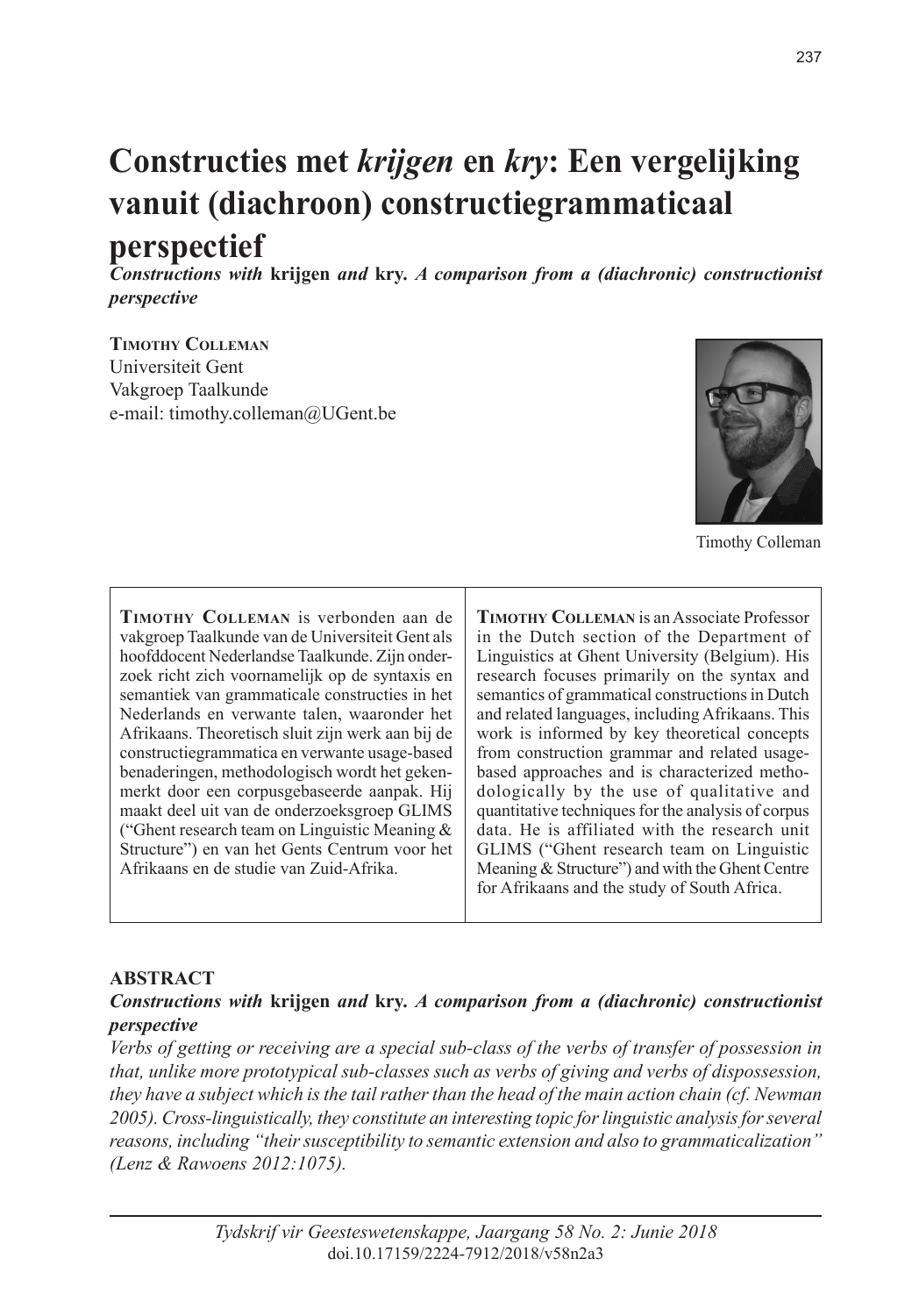# **Constructies met** *krijgen* **en** *kry***: Een vergelijking vanuit (diachroon) constructiegrammaticaal perspectief**

*Constructions with* **krijgen** *and* **kry***. A comparison from a (diachronic) constructionist perspective*

**Timothy Colleman** Universiteit Gent Vakgroep Taalkunde e-mail: timothy.colleman@UGent.be



Timothy Colleman

**Timothy Colleman** is verbonden aan de vakgroep Taalkunde van de Universiteit Gent als hoofddocent Nederlandse Taalkunde. Zijn onderzoek richt zich voornamelijk op de syntaxis en semantiek van grammaticale constructies in het Nederlands en verwante talen, waaronder het Afrikaans. Theoretisch sluit zijn werk aan bij de constructiegrammatica en verwante usage-based benaderingen, methodologisch wordt het gekenmerkt door een corpusgebaseerde aanpak. Hij maakt deel uit van de onderzoeksgroep GLIMS ("Ghent research team on Linguistic Meaning & Structure") en van het Gents Centrum voor het Afrikaans en de studie van Zuid-Afrika.

**Timothy Colleman** is an Associate Professor in the Dutch section of the Department of Linguistics at Ghent University (Belgium). His research focuses primarily on the syntax and semantics of grammatical constructions in Dutch and related languages, including Afrikaans. This work is informed by key theoretical concepts from construction grammar and related usagebased approaches and is characterized methodologically by the use of qualitative and quantitative techniques for the analysis of corpus data. He is affiliated with the research unit GLIMS ("Ghent research team on Linguistic Meaning & Structure") and with the Ghent Centre for Afrikaans and the study of South Africa.

#### **ABSTRACT**

#### *Constructions with* **krijgen** *and* **kry***. A comparison from a (diachronic) constructionist perspective*

*Verbs of getting or receiving are a special sub-class of the verbs of transfer of possession in that, unlike more prototypical sub-classes such as verbs of giving and verbs of dispossession, they have a subject which is the tail rather than the head of the main action chain (cf. Newman 2005). Cross-linguistically, they constitute an interesting topic for linguistic analysis for several reasons, including "their susceptibility to semantic extension and also to grammaticalization" (Lenz & Rawoens 2012:1075).*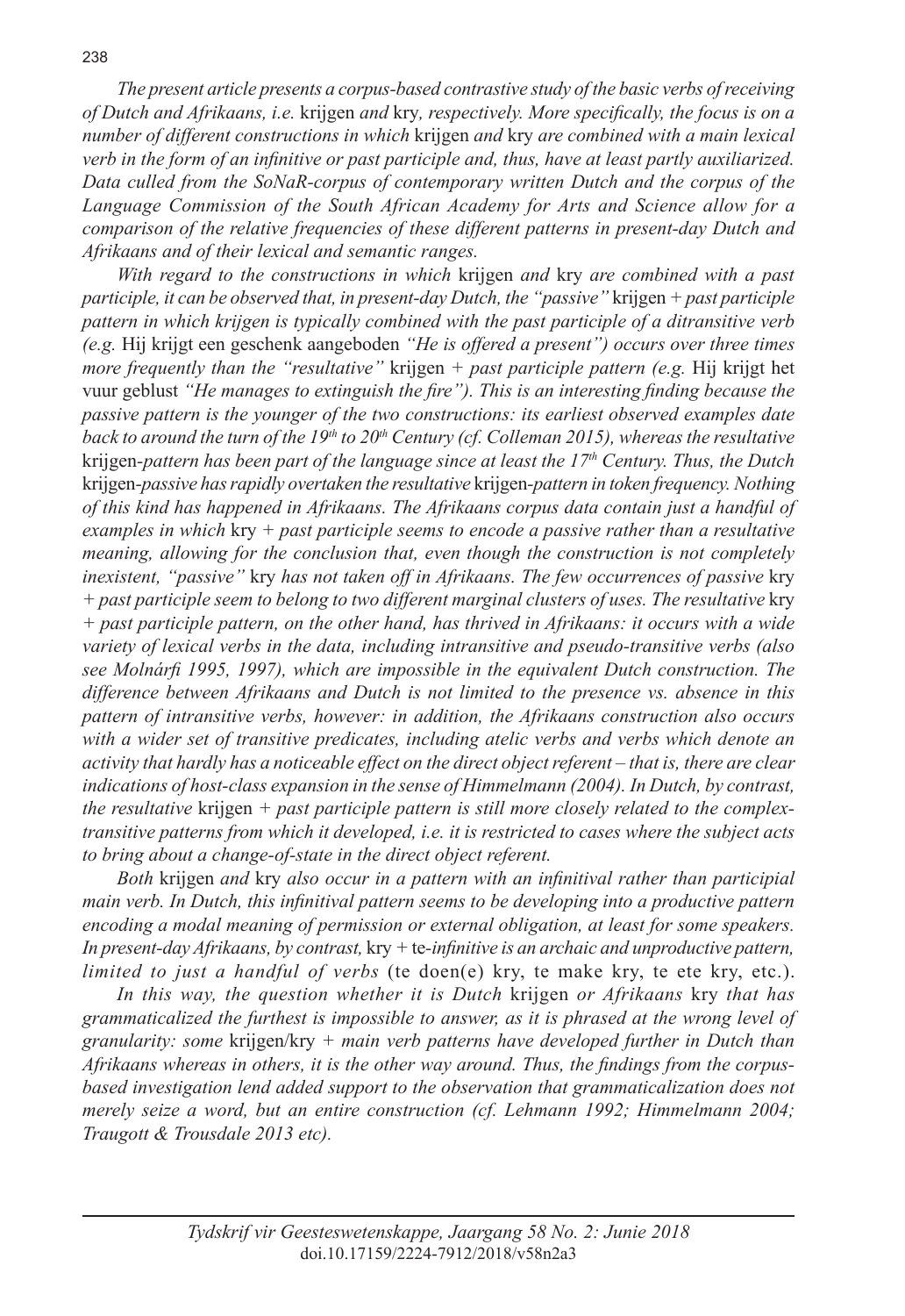*The present article presents a corpus-based contrastive study of the basic verbs of receiving of Dutch and Afrikaans, i.e.* krijgen *and* kry*, respectively. More specifically, the focus is on a number of different constructions in which* krijgen *and* kry *are combined with a main lexical verb in the form of an infinitive or past participle and, thus, have at least partly auxiliarized. Data culled from the SoNaR-corpus of contemporary written Dutch and the corpus of the Language Commission of the South African Academy for Arts and Science allow for a comparison of the relative frequencies of these different patterns in present-day Dutch and Afrikaans and of their lexical and semantic ranges.*

*With regard to the constructions in which* krijgen *and* kry *are combined with a past participle, it can be observed that, in present-day Dutch, the "passive"* krijgen *+ past participle pattern in which krijgen is typically combined with the past participle of a ditransitive verb (e.g.* Hij krijgt een geschenk aangeboden *"He is offered a present") occurs over three times more frequently than the "resultative"* krijgen *+ past participle pattern (e.g.* Hij krijgt het vuur geblust *"He manages to extinguish the fire"). This is an interesting finding because the passive pattern is the younger of the two constructions: its earliest observed examples date*  back to around the turn of the 19<sup>th</sup> to 20<sup>th</sup> Century (cf. Colleman 2015), whereas the resultative krijgen*-pattern has been part of the language since at least the 17th Century. Thus, the Dutch*  krijgen*-passive has rapidly overtaken the resultative* krijgen*-pattern in token frequency. Nothing of this kind has happened in Afrikaans. The Afrikaans corpus data contain just a handful of examples in which* kry *+ past participle seems to encode a passive rather than a resultative meaning, allowing for the conclusion that, even though the construction is not completely inexistent, "passive"* kry *has not taken off in Afrikaans. The few occurrences of passive* kry *+ past participle seem to belong to two different marginal clusters of uses. The resultative* kry *+ past participle pattern, on the other hand, has thrived in Afrikaans: it occurs with a wide variety of lexical verbs in the data, including intransitive and pseudo-transitive verbs (also see Molnárfi 1995, 1997), which are impossible in the equivalent Dutch construction. The difference between Afrikaans and Dutch is not limited to the presence vs. absence in this pattern of intransitive verbs, however: in addition, the Afrikaans construction also occurs with a wider set of transitive predicates, including atelic verbs and verbs which denote an activity that hardly has a noticeable effect on the direct object referent – that is, there are clear indications of host-class expansion in the sense of Himmelmann (2004). In Dutch, by contrast, the resultative* krijgen *+ past participle pattern is still more closely related to the complextransitive patterns from which it developed, i.e. it is restricted to cases where the subject acts to bring about a change-of-state in the direct object referent.*

*Both* krijgen *and* kry *also occur in a pattern with an infinitival rather than participial main verb. In Dutch, this infinitival pattern seems to be developing into a productive pattern encoding a modal meaning of permission or external obligation, at least for some speakers. In present-day Afrikaans, by contrast,* kry *+* te*-infinitive is an archaic and unproductive pattern, limited to just a handful of verbs* (te doen(e) kry, te make kry, te ete kry, etc.).

*In this way, the question whether it is Dutch* krijgen *or Afrikaans* kry *that has grammaticalized the furthest is impossible to answer, as it is phrased at the wrong level of granularity: some* krijgen/kry *+ main verb patterns have developed further in Dutch than Afrikaans whereas in others, it is the other way around. Thus, the findings from the corpusbased investigation lend added support to the observation that grammaticalization does not merely seize a word, but an entire construction (cf. Lehmann 1992; Himmelmann 2004; Traugott & Trousdale 2013 etc).*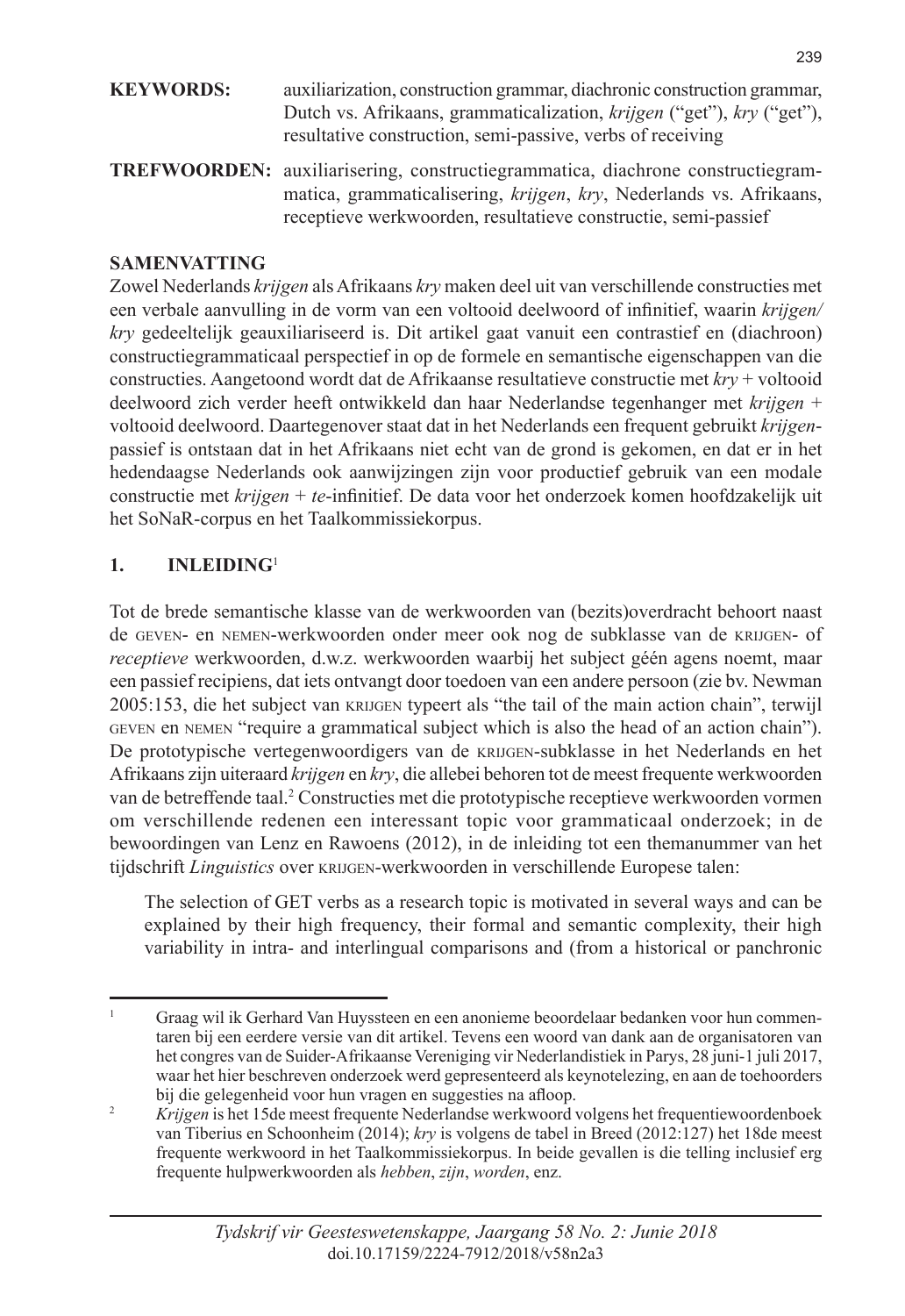| <b>KEYWORDS:</b> | auxiliarization, construction grammar, diachronic construction grammar,<br>Dutch vs. Afrikaans, grammaticalization, krijgen ("get"), kry ("get"),<br>resultative construction, semi-passive, verbs of receiving |  |  |
|------------------|-----------------------------------------------------------------------------------------------------------------------------------------------------------------------------------------------------------------|--|--|
|                  | <b>TREFWOORDEN:</b> auxiliarisering, constructiegrammatica, diachrone constructiegram-                                                                                                                          |  |  |

**TREFWOORDEN:** auxiliarisering, constructiegrammatica, diachrone constructiegrammatica, grammaticalisering, *krijgen*, *kry*, Nederlands vs. Afrikaans, receptieve werkwoorden, resultatieve constructie, semi-passief

#### **SAMENVATTING**

Zowel Nederlands *krijgen* als Afrikaans *kry* maken deel uit van verschillende constructies met een verbale aanvulling in de vorm van een voltooid deelwoord of infinitief, waarin *krijgen/ kry* gedeeltelijk geauxiliariseerd is. Dit artikel gaat vanuit een contrastief en (diachroon) constructiegrammaticaal perspectief in op de formele en semantische eigenschappen van die constructies. Aangetoond wordt dat de Afrikaanse resultatieve constructie met *kry* + voltooid deelwoord zich verder heeft ontwikkeld dan haar Nederlandse tegenhanger met *krijgen* + voltooid deelwoord. Daartegenover staat dat in het Nederlands een frequent gebruikt *krijgen*passief is ontstaan dat in het Afrikaans niet echt van de grond is gekomen, en dat er in het hedendaagse Nederlands ook aanwijzingen zijn voor productief gebruik van een modale constructie met *krijgen* + *te*-infinitief. De data voor het onderzoek komen hoofdzakelijk uit het SoNaR-corpus en het Taalkommissiekorpus.

# **1. INLEIDING**<sup>1</sup>

Tot de brede semantische klasse van de werkwoorden van (bezits)overdracht behoort naast de geven- en nemen-werkwoorden onder meer ook nog de subklasse van de krijgen- of *receptieve* werkwoorden, d.w.z. werkwoorden waarbij het subject géén agens noemt, maar een passief recipiens, dat iets ontvangt door toedoen van een andere persoon (zie bv. Newman 2005:153, die het subject van krijgen typeert als "the tail of the main action chain", terwijl geven en nemen "require a grammatical subject which is also the head of an action chain"). De prototypische vertegenwoordigers van de krijgen-subklasse in het Nederlands en het Afrikaans zijn uiteraard *krijgen* en *kry*, die allebei behoren tot de meest frequente werkwoorden van de betreffende taal.<sup>2</sup> Constructies met die prototypische receptieve werkwoorden vormen om verschillende redenen een interessant topic voor grammaticaal onderzoek; in de bewoordingen van Lenz en Rawoens (2012), in de inleiding tot een themanummer van het tijdschrift *Linguistics* over krijgen-werkwoorden in verschillende Europese talen:

The selection of GET verbs as a research topic is motivated in several ways and can be explained by their high frequency, their formal and semantic complexity, their high variability in intra- and interlingual comparisons and (from a historical or panchronic

<sup>1</sup> Graag wil ik Gerhard Van Huyssteen en een anonieme beoordelaar bedanken voor hun commentaren bij een eerdere versie van dit artikel. Tevens een woord van dank aan de organisatoren van het congres van de Suider-Afrikaanse Vereniging vir Nederlandistiek in Parys, 28 juni-1 juli 2017, waar het hier beschreven onderzoek werd gepresenteerd als keynotelezing, en aan de toehoorders bij die gelegenheid voor hun vragen en suggesties na afloop.

<sup>&</sup>lt;sup>2</sup> Krijgen is het 15de meest frequente Nederlandse werkwoord volgens het frequentiewoordenboek van Tiberius en Schoonheim (2014); *kry* is volgens de tabel in Breed (2012:127) het 18de meest frequente werkwoord in het Taalkommissiekorpus. In beide gevallen is die telling inclusief erg frequente hulpwerkwoorden als *hebben*, *zijn*, *worden*, enz.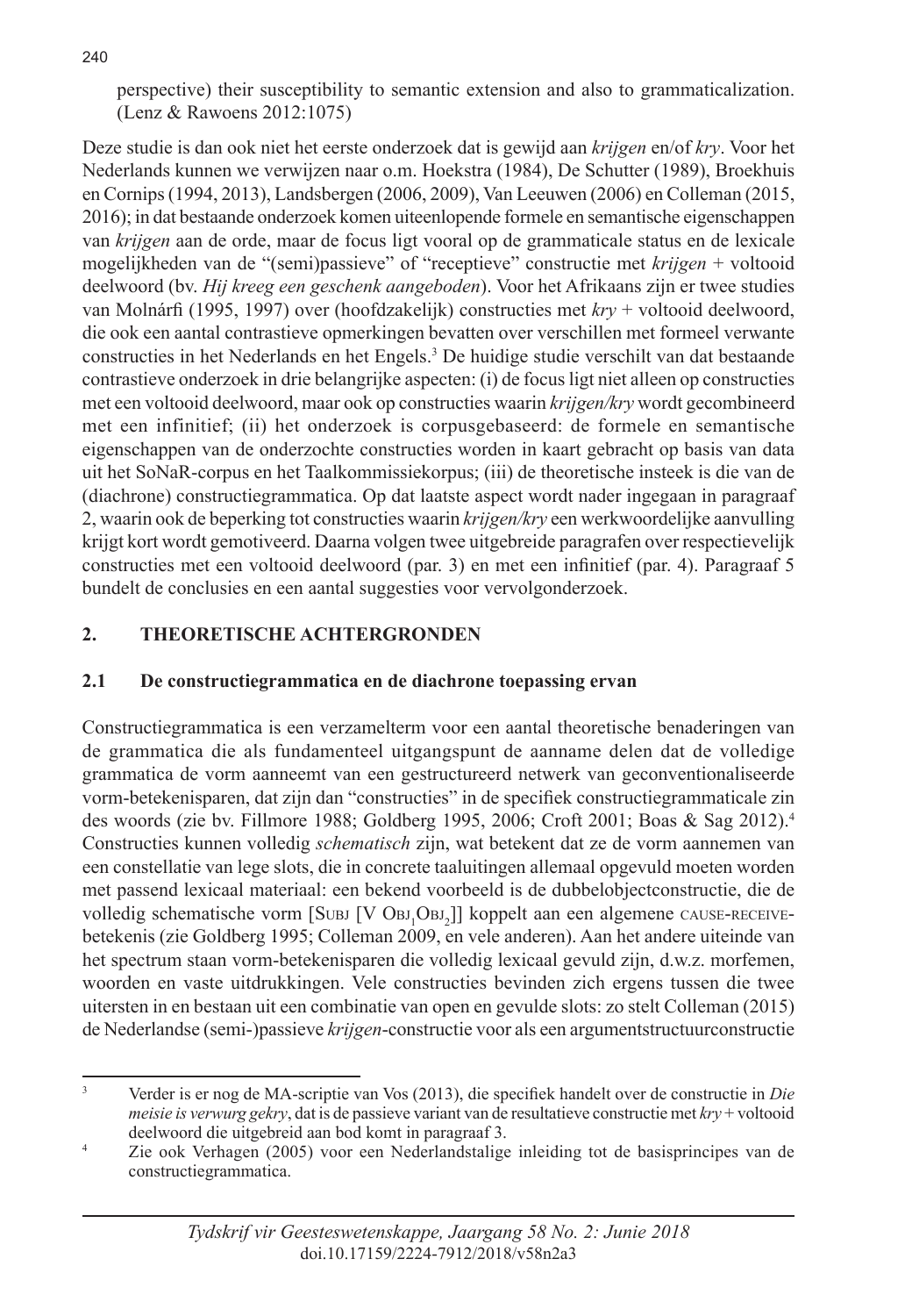240

perspective) their susceptibility to semantic extension and also to grammaticalization. (Lenz & Rawoens 2012:1075)

Deze studie is dan ook niet het eerste onderzoek dat is gewijd aan *krijgen* en/of *kry*. Voor het Nederlands kunnen we verwijzen naar o.m. Hoekstra (1984), De Schutter (1989), Broekhuis en Cornips (1994, 2013), Landsbergen (2006, 2009), Van Leeuwen (2006) en Colleman (2015, 2016); in dat bestaande onderzoek komen uiteenlopende formele en semantische eigenschappen van *krijgen* aan de orde, maar de focus ligt vooral op de grammaticale status en de lexicale mogelijkheden van de "(semi)passieve" of "receptieve" constructie met *krijgen* + voltooid deelwoord (bv. *Hij kreeg een geschenk aangeboden*). Voor het Afrikaans zijn er twee studies van Molnárfi (1995, 1997) over (hoofdzakelijk) constructies met *kry* + voltooid deelwoord, die ook een aantal contrastieve opmerkingen bevatten over verschillen met formeel verwante constructies in het Nederlands en het Engels.3 De huidige studie verschilt van dat bestaande contrastieve onderzoek in drie belangrijke aspecten: (i) de focus ligt niet alleen op constructies met een voltooid deelwoord, maar ook op constructies waarin *krijgen/kry* wordt gecombineerd met een infinitief; (ii) het onderzoek is corpusgebaseerd: de formele en semantische eigenschappen van de onderzochte constructies worden in kaart gebracht op basis van data uit het SoNaR-corpus en het Taalkommissiekorpus; (iii) de theoretische insteek is die van de (diachrone) constructiegrammatica. Op dat laatste aspect wordt nader ingegaan in paragraaf 2, waarin ook de beperking tot constructies waarin *krijgen/kry* een werkwoordelijke aanvulling krijgt kort wordt gemotiveerd. Daarna volgen twee uitgebreide paragrafen over respectievelijk constructies met een voltooid deelwoord (par. 3) en met een infinitief (par. 4). Paragraaf 5 bundelt de conclusies en een aantal suggesties voor vervolgonderzoek.

# **2. THEORETISCHE ACHTERGRONDEN**

# **2.1 De constructiegrammatica en de diachrone toepassing ervan**

Constructiegrammatica is een verzamelterm voor een aantal theoretische benaderingen van de grammatica die als fundamenteel uitgangspunt de aanname delen dat de volledige grammatica de vorm aanneemt van een gestructureerd netwerk van geconventionaliseerde vorm-betekenisparen, dat zijn dan "constructies" in de specifiek constructiegrammaticale zin des woords (zie bv. Fillmore 1988; Goldberg 1995, 2006; Croft 2001; Boas & Sag 2012).4 Constructies kunnen volledig *schematisch* zijn, wat betekent dat ze de vorm aannemen van een constellatie van lege slots, die in concrete taaluitingen allemaal opgevuld moeten worden met passend lexicaal materiaal: een bekend voorbeeld is de dubbelobjectconstructie, die de volledig schematische vorm [Subj [V Obj<sub>1</sub>Obj<sub>2</sub>]] koppelt aan een algemene cause-receivebetekenis (zie Goldberg 1995; Colleman 2009, en vele anderen). Aan het andere uiteinde van het spectrum staan vorm-betekenisparen die volledig lexicaal gevuld zijn, d.w.z. morfemen, woorden en vaste uitdrukkingen. Vele constructies bevinden zich ergens tussen die twee uitersten in en bestaan uit een combinatie van open en gevulde slots: zo stelt Colleman (2015) de Nederlandse (semi-)passieve *krijgen*-constructie voor als een argumentstructuurconstructie

<sup>3</sup> Verder is er nog de MA-scriptie van Vos (2013), die specifiek handelt over de constructie in *Die meisie is verwurg gekry*, dat is de passieve variant van de resultatieve constructie met *kry* + voltooid deelwoord die uitgebreid aan bod komt in paragraaf 3.

Zie ook Verhagen (2005) voor een Nederlandstalige inleiding tot de basisprincipes van de constructiegrammatica.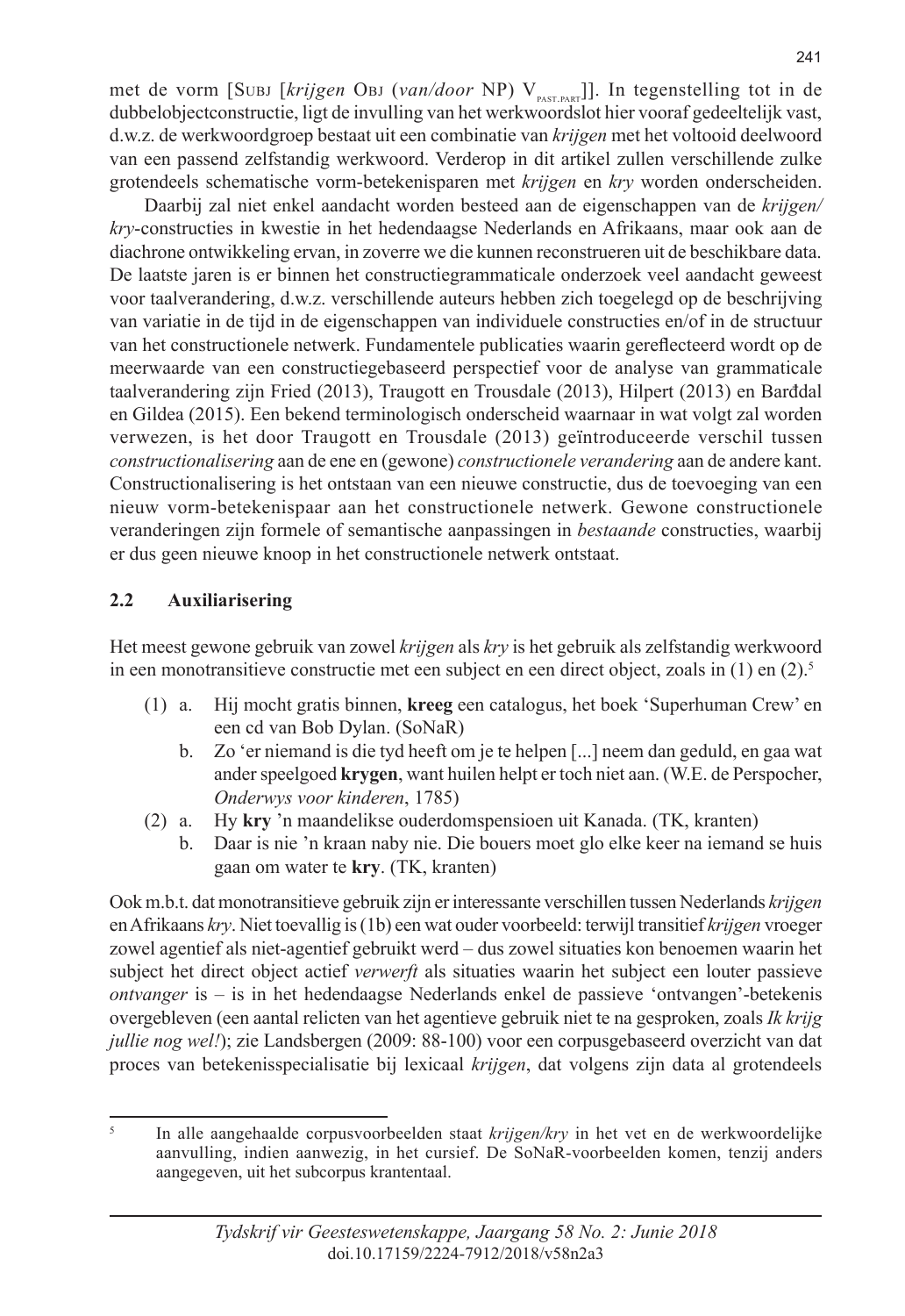met de vorm [Subj [krijgen Obj (van/door NP) V<sub>past part</sub>]]. In tegenstelling tot in de dubbelobjectconstructie, ligt de invulling van het werkwoordslot hier vooraf gedeeltelijk vast, d.w.z. de werkwoordgroep bestaat uit een combinatie van *krijgen* met het voltooid deelwoord van een passend zelfstandig werkwoord. Verderop in dit artikel zullen verschillende zulke grotendeels schematische vorm-betekenisparen met *krijgen* en *kry* worden onderscheiden.

Daarbij zal niet enkel aandacht worden besteed aan de eigenschappen van de *krijgen/ kry*-constructies in kwestie in het hedendaagse Nederlands en Afrikaans, maar ook aan de diachrone ontwikkeling ervan, in zoverre we die kunnen reconstrueren uit de beschikbare data. De laatste jaren is er binnen het constructiegrammaticale onderzoek veel aandacht geweest voor taalverandering, d.w.z. verschillende auteurs hebben zich toegelegd op de beschrijving van variatie in de tijd in de eigenschappen van individuele constructies en/of in de structuur van het constructionele netwerk. Fundamentele publicaties waarin gereflecteerd wordt op de meerwaarde van een constructiegebaseerd perspectief voor de analyse van grammaticale taalverandering zijn Fried (2013), Traugott en Trousdale (2013), Hilpert (2013) en Barđdal en Gildea (2015). Een bekend terminologisch onderscheid waarnaar in wat volgt zal worden verwezen, is het door Traugott en Trousdale (2013) geïntroduceerde verschil tussen *constructionalisering* aan de ene en (gewone) *constructionele verandering* aan de andere kant. Constructionalisering is het ontstaan van een nieuwe constructie, dus de toevoeging van een nieuw vorm-betekenispaar aan het constructionele netwerk. Gewone constructionele veranderingen zijn formele of semantische aanpassingen in *bestaande* constructies, waarbij er dus geen nieuwe knoop in het constructionele netwerk ontstaat.

### **2.2 Auxiliarisering**

Het meest gewone gebruik van zowel *krijgen* als *kry* is het gebruik als zelfstandig werkwoord in een monotransitieve constructie met een subject en een direct object, zoals in (1) en (2).5

- (1) a. Hij mocht gratis binnen, **kreeg** een catalogus, het boek 'Superhuman Crew' en een cd van Bob Dylan. (SoNaR)
	- b. Zo 'er niemand is die tyd heeft om je te helpen [...] neem dan geduld, en gaa wat ander speelgoed **krygen**, want huilen helpt er toch niet aan. (W.E. de Perspocher, *Onderwys voor kinderen*, 1785)
- (2) a. Hy **kry** 'n maandelikse ouderdomspensioen uit Kanada. (TK, kranten)
	- b. Daar is nie 'n kraan naby nie. Die bouers moet glo elke keer na iemand se huis gaan om water te **kry**. (TK, kranten)

Ook m.b.t. dat monotransitieve gebruik zijn er interessante verschillen tussen Nederlands *krijgen* en Afrikaans *kry*. Niet toevallig is (1b) een wat ouder voorbeeld: terwijl transitief *krijgen* vroeger zowel agentief als niet-agentief gebruikt werd – dus zowel situaties kon benoemen waarin het subject het direct object actief *verwerft* als situaties waarin het subject een louter passieve *ontvanger* is – is in het hedendaagse Nederlands enkel de passieve 'ontvangen'-betekenis overgebleven (een aantal relicten van het agentieve gebruik niet te na gesproken, zoals *Ik krijg jullie nog wel!*); zie Landsbergen (2009: 88-100) voor een corpusgebaseerd overzicht van dat proces van betekenisspecialisatie bij lexicaal *krijgen*, dat volgens zijn data al grotendeels

<sup>5</sup> In alle aangehaalde corpusvoorbeelden staat *krijgen/kry* in het vet en de werkwoordelijke aanvulling, indien aanwezig, in het cursief. De SoNaR-voorbeelden komen, tenzij anders aangegeven, uit het subcorpus krantentaal.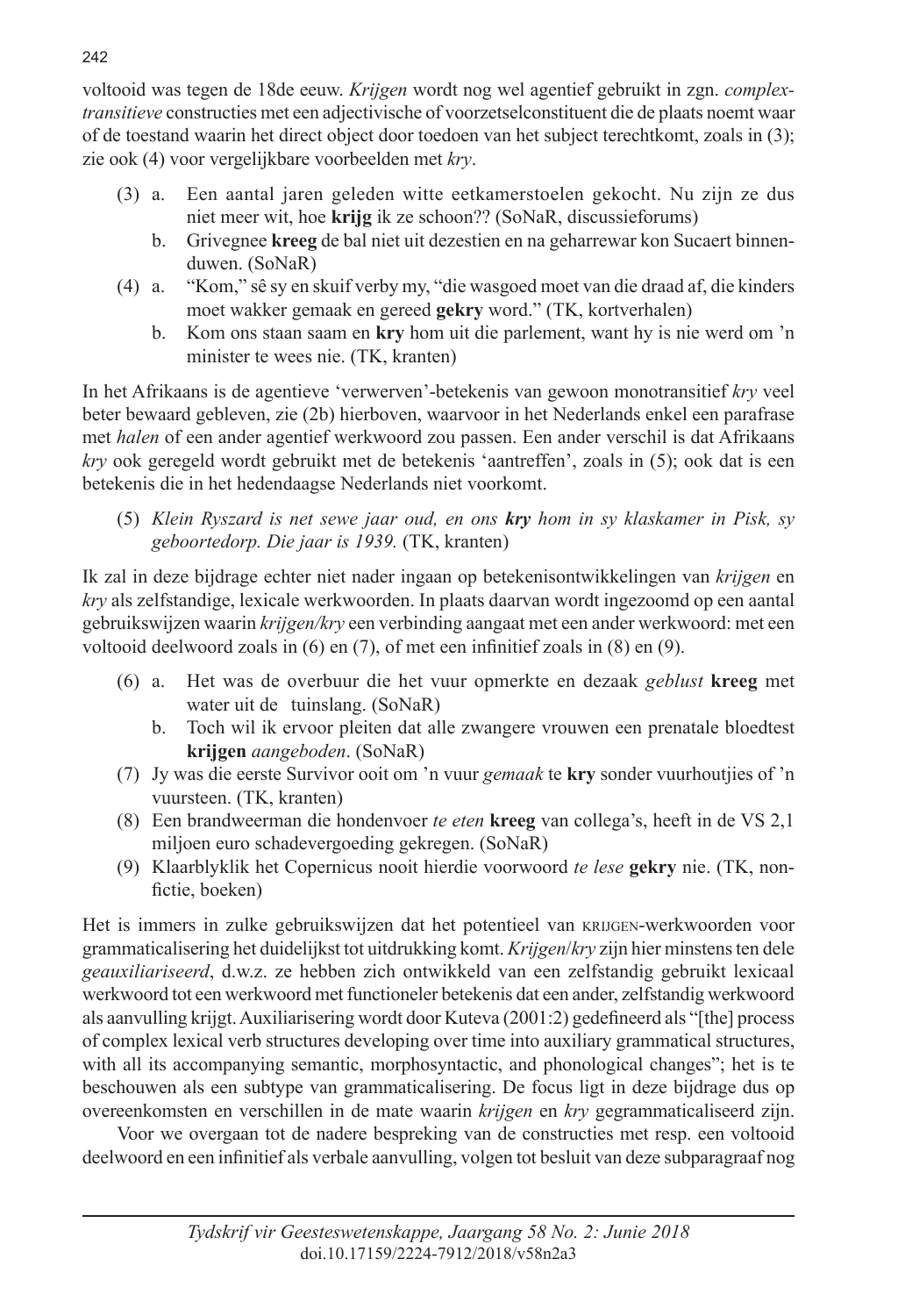voltooid was tegen de 18de eeuw. *Krijgen* wordt nog wel agentief gebruikt in zgn. *complextransitieve* constructies met een adjectivische of voorzetselconstituent die de plaats noemt waar of de toestand waarin het direct object door toedoen van het subject terechtkomt, zoals in (3); zie ook (4) voor vergelijkbare voorbeelden met *kry*.

- (3) a. Een aantal jaren geleden witte eetkamerstoelen gekocht. Nu zijn ze dus niet meer wit, hoe **krijg** ik ze schoon?? (SoNaR, discussieforums)
	- b. Grivegnee **kreeg** de bal niet uit dezestien en na geharrewar kon Sucaert binnenduwen. (SoNaR)
- (4) a. "Kom," sê sy en skuif verby my, "die wasgoed moet van die draad af, die kinders moet wakker gemaak en gereed **gekry** word." (TK, kortverhalen)
	- b. Kom ons staan saam en **kry** hom uit die parlement, want hy is nie werd om 'n minister te wees nie. (TK, kranten)

In het Afrikaans is de agentieve 'verwerven'-betekenis van gewoon monotransitief *kry* veel beter bewaard gebleven, zie (2b) hierboven, waarvoor in het Nederlands enkel een parafrase met *halen* of een ander agentief werkwoord zou passen. Een ander verschil is dat Afrikaans *kry* ook geregeld wordt gebruikt met de betekenis 'aantreffen', zoals in (5); ook dat is een betekenis die in het hedendaagse Nederlands niet voorkomt.

(5) *Klein Ryszard is net sewe jaar oud, en ons kry hom in sy klaskamer in Pisk, sy geboortedorp. Die jaar is 1939.* (TK, kranten)

Ik zal in deze bijdrage echter niet nader ingaan op betekenisontwikkelingen van *krijgen* en *kry* als zelfstandige, lexicale werkwoorden. In plaats daarvan wordt ingezoomd op een aantal gebruikswijzen waarin *krijgen/kry* een verbinding aangaat met een ander werkwoord: met een voltooid deelwoord zoals in (6) en (7), of met een infinitief zoals in (8) en (9).

- (6) a. Het was de overbuur die het vuur opmerkte en dezaak *geblust* **kreeg** met water uit de tuinslang. (SoNaR)
	- b. Toch wil ik ervoor pleiten dat alle zwangere vrouwen een prenatale bloedtest **krijgen** *aangeboden*. (SoNaR)
- (7) Jy was die eerste Survivor ooit om 'n vuur *gemaak* te **kry** sonder vuurhoutjies of 'n vuursteen. (TK, kranten)
- (8) Een brandweerman die hondenvoer *te eten* **kreeg** van collega's, heeft in de VS 2,1 miljoen euro schadevergoeding gekregen. (SoNaR)
- (9) Klaarblyklik het Copernicus nooit hierdie voorwoord *te lese* **gekry** nie. (TK, nonfictie, boeken)

Het is immers in zulke gebruikswijzen dat het potentieel van krijgen-werkwoorden voor grammaticalisering het duidelijkst tot uitdrukking komt. *Krijgen*/*kry* zijn hier minstens ten dele *geauxiliariseerd*, d.w.z. ze hebben zich ontwikkeld van een zelfstandig gebruikt lexicaal werkwoord tot een werkwoord met functioneler betekenis dat een ander, zelfstandig werkwoord als aanvulling krijgt. Auxiliarisering wordt door Kuteva (2001:2) gedefineerd als "[the] process of complex lexical verb structures developing over time into auxiliary grammatical structures, with all its accompanying semantic, morphosyntactic, and phonological changes"; het is te beschouwen als een subtype van grammaticalisering. De focus ligt in deze bijdrage dus op overeenkomsten en verschillen in de mate waarin *krijgen* en *kry* gegrammaticaliseerd zijn.

Voor we overgaan tot de nadere bespreking van de constructies met resp. een voltooid deelwoord en een infinitief als verbale aanvulling, volgen tot besluit van deze subparagraaf nog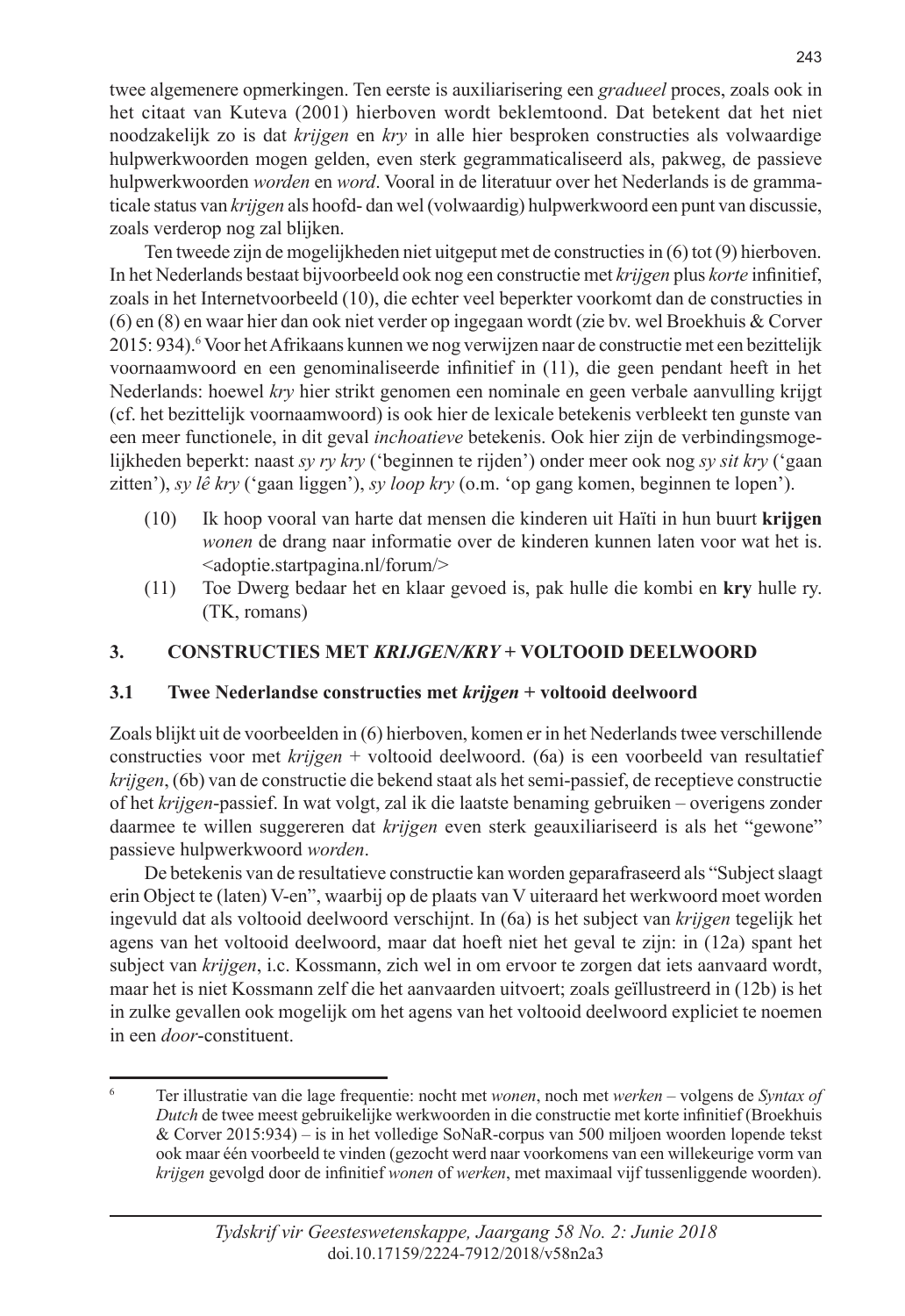twee algemenere opmerkingen. Ten eerste is auxiliarisering een *gradueel* proces, zoals ook in het citaat van Kuteva (2001) hierboven wordt beklemtoond. Dat betekent dat het niet noodzakelijk zo is dat *krijgen* en *kry* in alle hier besproken constructies als volwaardige hulpwerkwoorden mogen gelden, even sterk gegrammaticaliseerd als, pakweg, de passieve hulpwerkwoorden *worden* en *word*. Vooral in de literatuur over het Nederlands is de grammaticale status van *krijgen* als hoofd- dan wel (volwaardig) hulpwerkwoord een punt van discussie, zoals verderop nog zal blijken.

Ten tweede zijn de mogelijkheden niet uitgeput met de constructies in (6) tot (9) hierboven. In het Nederlands bestaat bijvoorbeeld ook nog een constructie met *krijgen* plus *korte* infinitief, zoals in het Internetvoorbeeld (10), die echter veel beperkter voorkomt dan de constructies in (6) en (8) en waar hier dan ook niet verder op ingegaan wordt (zie bv. wel Broekhuis & Corver 2015: 934). <sup>6</sup> Voor het Afrikaans kunnen we nog verwijzen naar de constructie met een bezittelijk voornaamwoord en een genominaliseerde infinitief in (11), die geen pendant heeft in het Nederlands: hoewel *kry* hier strikt genomen een nominale en geen verbale aanvulling krijgt (cf. het bezittelijk voornaamwoord) is ook hier de lexicale betekenis verbleekt ten gunste van een meer functionele, in dit geval *inchoatieve* betekenis. Ook hier zijn de verbindingsmogelijkheden beperkt: naast *sy ry kry* ('beginnen te rijden') onder meer ook nog *sy sit kry* ('gaan zitten'), *sy lê kry* ('gaan liggen'), *sy loop kry* (o.m. 'op gang komen, beginnen te lopen').

- (10) Ik hoop vooral van harte dat mensen die kinderen uit Haïti in hun buurt **krijgen**  *wonen* de drang naar informatie over de kinderen kunnen laten voor wat het is. <adoptie.startpagina.nl/forum/>
- (11) Toe Dwerg bedaar het en klaar gevoed is, pak hulle die kombi en **kry** hulle ry. (TK, romans)

#### **3. CONSTRUCTIES MET** *KRIJGEN/KRY* **+ VOLTOOID DEELWOORD**

#### **3.1 Twee Nederlandse constructies met** *krijgen* **+ voltooid deelwoord**

Zoals blijkt uit de voorbeelden in (6) hierboven, komen er in het Nederlands twee verschillende constructies voor met *krijgen* + voltooid deelwoord. (6a) is een voorbeeld van resultatief *krijgen*, (6b) van de constructie die bekend staat als het semi-passief, de receptieve constructie of het *krijgen*-passief. In wat volgt, zal ik die laatste benaming gebruiken – overigens zonder daarmee te willen suggereren dat *krijgen* even sterk geauxiliariseerd is als het "gewone" passieve hulpwerkwoord *worden*.

De betekenis van de resultatieve constructie kan worden geparafraseerd als "Subject slaagt erin Object te (laten) V-en", waarbij op de plaats van V uiteraard het werkwoord moet worden ingevuld dat als voltooid deelwoord verschijnt. In (6a) is het subject van *krijgen* tegelijk het agens van het voltooid deelwoord, maar dat hoeft niet het geval te zijn: in (12a) spant het subject van *krijgen*, i.c. Kossmann, zich wel in om ervoor te zorgen dat iets aanvaard wordt, maar het is niet Kossmann zelf die het aanvaarden uitvoert; zoals geïllustreerd in (12b) is het in zulke gevallen ook mogelijk om het agens van het voltooid deelwoord expliciet te noemen in een *door*-constituent.

<sup>6</sup> Ter illustratie van die lage frequentie: nocht met *wonen*, noch met *werken* – volgens de *Syntax of Dutch* de twee meest gebruikelijke werkwoorden in die constructie met korte infinitief (Broekhuis & Corver 2015:934) – is in het volledige SoNaR-corpus van 500 miljoen woorden lopende tekst ook maar één voorbeeld te vinden (gezocht werd naar voorkomens van een willekeurige vorm van *krijgen* gevolgd door de infinitief *wonen* of *werken*, met maximaal vijf tussenliggende woorden).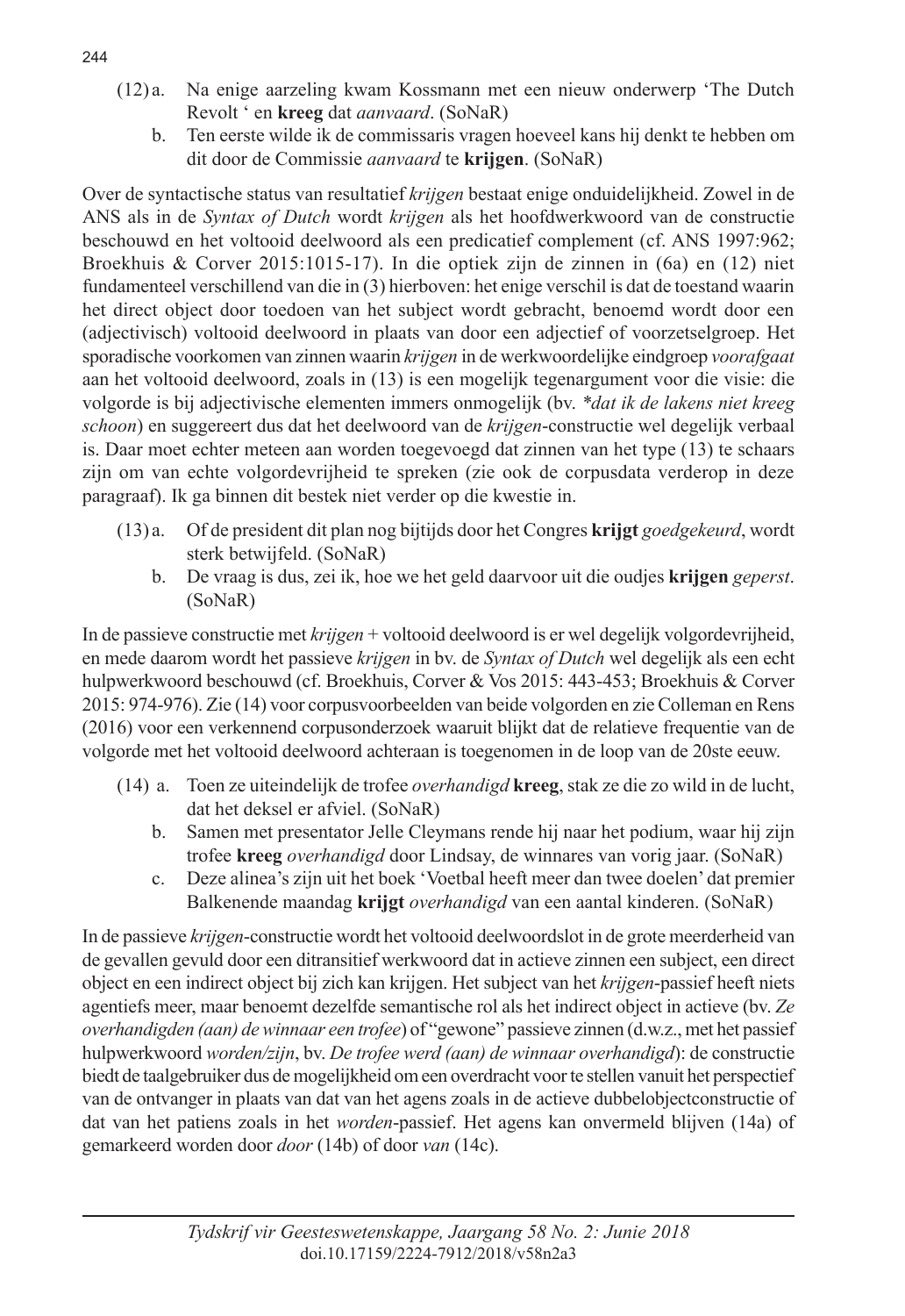- (12) a. Na enige aarzeling kwam Kossmann met een nieuw onderwerp 'The Dutch Revolt ' en **kreeg** dat *aanvaard*. (SoNaR)
	- b. Ten eerste wilde ik de commissaris vragen hoeveel kans hij denkt te hebben om dit door de Commissie *aanvaard* te **krijgen**. (SoNaR)

Over de syntactische status van resultatief *krijgen* bestaat enige onduidelijkheid. Zowel in de ANS als in de *Syntax of Dutch* wordt *krijgen* als het hoofdwerkwoord van de constructie beschouwd en het voltooid deelwoord als een predicatief complement (cf. ANS 1997:962; Broekhuis & Corver 2015:1015-17). In die optiek zijn de zinnen in (6a) en (12) niet fundamenteel verschillend van die in (3) hierboven: het enige verschil is dat de toestand waarin het direct object door toedoen van het subject wordt gebracht, benoemd wordt door een (adjectivisch) voltooid deelwoord in plaats van door een adjectief of voorzetselgroep. Het sporadische voorkomen van zinnen waarin *krijgen* in de werkwoordelijke eindgroep *voorafgaat*  aan het voltooid deelwoord, zoals in (13) is een mogelijk tegenargument voor die visie: die volgorde is bij adjectivische elementen immers onmogelijk (bv. *\*dat ik de lakens niet kreeg schoon*) en suggereert dus dat het deelwoord van de *krijgen*-constructie wel degelijk verbaal is. Daar moet echter meteen aan worden toegevoegd dat zinnen van het type (13) te schaars zijn om van echte volgordevrijheid te spreken (zie ook de corpusdata verderop in deze paragraaf). Ik ga binnen dit bestek niet verder op die kwestie in.

- (13) a. Of de president dit plan nog bijtijds door het Congres **krijgt** *goedgekeurd*, wordt sterk betwijfeld. (SoNaR)
	- b. De vraag is dus, zei ik, hoe we het geld daarvoor uit die oudjes **krijgen** *geperst*. (SoNaR)

In de passieve constructie met *krijgen* + voltooid deelwoord is er wel degelijk volgordevrijheid, en mede daarom wordt het passieve *krijgen* in bv. de *Syntax of Dutch* wel degelijk als een echt hulpwerkwoord beschouwd (cf. Broekhuis, Corver & Vos 2015: 443-453; Broekhuis & Corver 2015: 974-976). Zie (14) voor corpusvoorbeelden van beide volgorden en zie Colleman en Rens (2016) voor een verkennend corpusonderzoek waaruit blijkt dat de relatieve frequentie van de volgorde met het voltooid deelwoord achteraan is toegenomen in de loop van de 20ste eeuw.

- (14) a. Toen ze uiteindelijk de trofee *overhandigd* **kreeg**, stak ze die zo wild in de lucht, dat het deksel er afviel. (SoNaR)
	- b. Samen met presentator Jelle Cleymans rende hij naar het podium, waar hij zijn trofee **kreeg** *overhandigd* door Lindsay, de winnares van vorig jaar. (SoNaR)
	- c. Deze alinea's zijn uit het boek 'Voetbal heeft meer dan twee doelen' dat premier Balkenende maandag **krijgt** *overhandigd* van een aantal kinderen. (SoNaR)

In de passieve *krijgen*-constructie wordt het voltooid deelwoordslot in de grote meerderheid van de gevallen gevuld door een ditransitief werkwoord dat in actieve zinnen een subject, een direct object en een indirect object bij zich kan krijgen. Het subject van het *krijgen*-passief heeft niets agentiefs meer, maar benoemt dezelfde semantische rol als het indirect object in actieve (bv. *Ze overhandigden (aan) de winnaar een trofee*) of "gewone" passieve zinnen (d.w.z., met het passief hulpwerkwoord *worden/zijn*, bv. *De trofee werd (aan) de winnaar overhandigd*): de constructie biedt de taalgebruiker dus de mogelijkheid om een overdracht voor te stellen vanuit het perspectief van de ontvanger in plaats van dat van het agens zoals in de actieve dubbelobjectconstructie of dat van het patiens zoals in het *worden*-passief. Het agens kan onvermeld blijven (14a) of gemarkeerd worden door *door* (14b) of door *van* (14c).

#### 244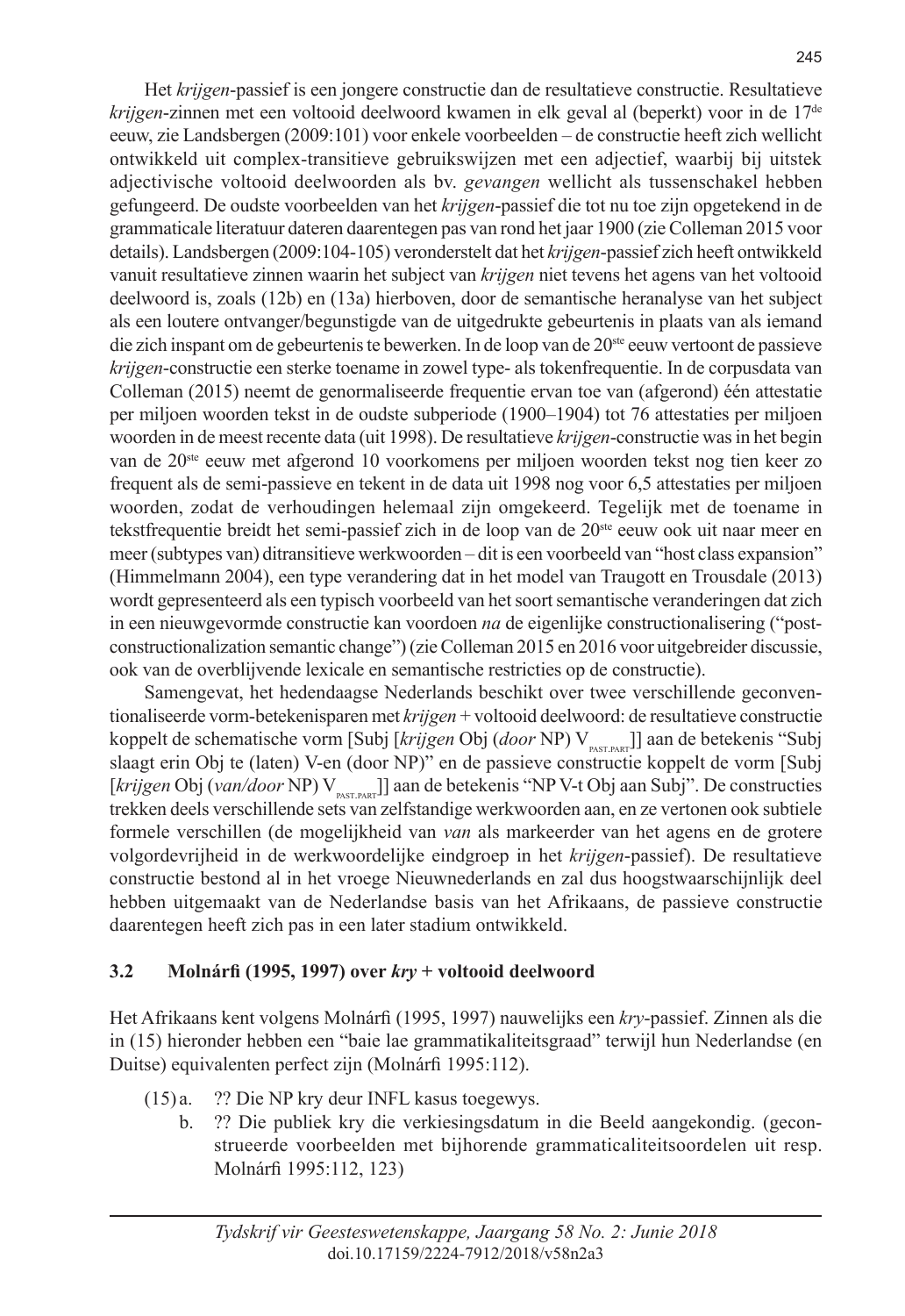Het *krijgen*-passief is een jongere constructie dan de resultatieve constructie. Resultatieve *krijgen*-zinnen met een voltooid deelwoord kwamen in elk geval al (beperkt) voor in de 17de eeuw, zie Landsbergen (2009:101) voor enkele voorbeelden – de constructie heeft zich wellicht ontwikkeld uit complex-transitieve gebruikswijzen met een adjectief, waarbij bij uitstek adjectivische voltooid deelwoorden als bv. *gevangen* wellicht als tussenschakel hebben gefungeerd. De oudste voorbeelden van het *krijgen*-passief die tot nu toe zijn opgetekend in de grammaticale literatuur dateren daarentegen pas van rond het jaar 1900 (zie Colleman 2015 voor details). Landsbergen (2009:104-105) veronderstelt dat het *krijgen*-passief zich heeft ontwikkeld vanuit resultatieve zinnen waarin het subject van *krijgen* niet tevens het agens van het voltooid deelwoord is, zoals (12b) en (13a) hierboven, door de semantische heranalyse van het subject als een loutere ontvanger/begunstigde van de uitgedrukte gebeurtenis in plaats van als iemand die zich inspant om de gebeurtenis te bewerken. In de loop van de 20ste eeuw vertoont de passieve *krijgen*-constructie een sterke toename in zowel type- als tokenfrequentie. In de corpusdata van Colleman (2015) neemt de genormaliseerde frequentie ervan toe van (afgerond) één attestatie per miljoen woorden tekst in de oudste subperiode (1900–1904) tot 76 attestaties per miljoen woorden in de meest recente data (uit 1998). De resultatieve *krijgen*-constructie was in het begin van de 20ste eeuw met afgerond 10 voorkomens per miljoen woorden tekst nog tien keer zo frequent als de semi-passieve en tekent in de data uit 1998 nog voor 6,5 attestaties per miljoen woorden, zodat de verhoudingen helemaal zijn omgekeerd. Tegelijk met de toename in tekstfrequentie breidt het semi-passief zich in de loop van de 20<sup>ste</sup> eeuw ook uit naar meer en meer (subtypes van) ditransitieve werkwoorden – dit is een voorbeeld van "host class expansion" (Himmelmann 2004), een type verandering dat in het model van Traugott en Trousdale (2013) wordt gepresenteerd als een typisch voorbeeld van het soort semantische veranderingen dat zich in een nieuwgevormde constructie kan voordoen *na* de eigenlijke constructionalisering ("postconstructionalization semantic change") (zie Colleman 2015 en 2016 voor uitgebreider discussie, ook van de overblijvende lexicale en semantische restricties op de constructie).

Samengevat, het hedendaagse Nederlands beschikt over twee verschillende geconventionaliseerde vorm-betekenisparen met *krijgen* + voltooid deelwoord: de resultatieve constructie koppelt de schematische vorm [Subj [*krijgen* Obj (*door* NP) V<sub>PAST.PART</sub>]] aan de betekenis "Subj slaagt erin Obj te (laten) V-en (door NP)" en de passieve constructie koppelt de vorm [Subj [krijgen Obj (van/door NP) V<sub>PAST.PART</sub>]] aan de betekenis "NP V-t Obj aan Subj". De constructies trekken deels verschillende sets van zelfstandige werkwoorden aan, en ze vertonen ook subtiele formele verschillen (de mogelijkheid van *van* als markeerder van het agens en de grotere volgordevrijheid in de werkwoordelijke eindgroep in het *krijgen*-passief). De resultatieve constructie bestond al in het vroege Nieuwnederlands en zal dus hoogstwaarschijnlijk deel hebben uitgemaakt van de Nederlandse basis van het Afrikaans, de passieve constructie daarentegen heeft zich pas in een later stadium ontwikkeld.

#### **3.2 Molnárfi (1995, 1997) over** *kry* **+ voltooid deelwoord**

Het Afrikaans kent volgens Molnárfi (1995, 1997) nauwelijks een *kry*-passief. Zinnen als die in (15) hieronder hebben een "baie lae grammatikaliteitsgraad" terwijl hun Nederlandse (en Duitse) equivalenten perfect zijn (Molnárfi 1995:112).

- (15) a. ?? Die NP kry deur INFL kasus toegewys.
	- b. ?? Die publiek kry die verkiesingsdatum in die Beeld aangekondig. (geconstrueerde voorbeelden met bijhorende grammaticaliteitsoordelen uit resp. Molnárfi 1995:112, 123)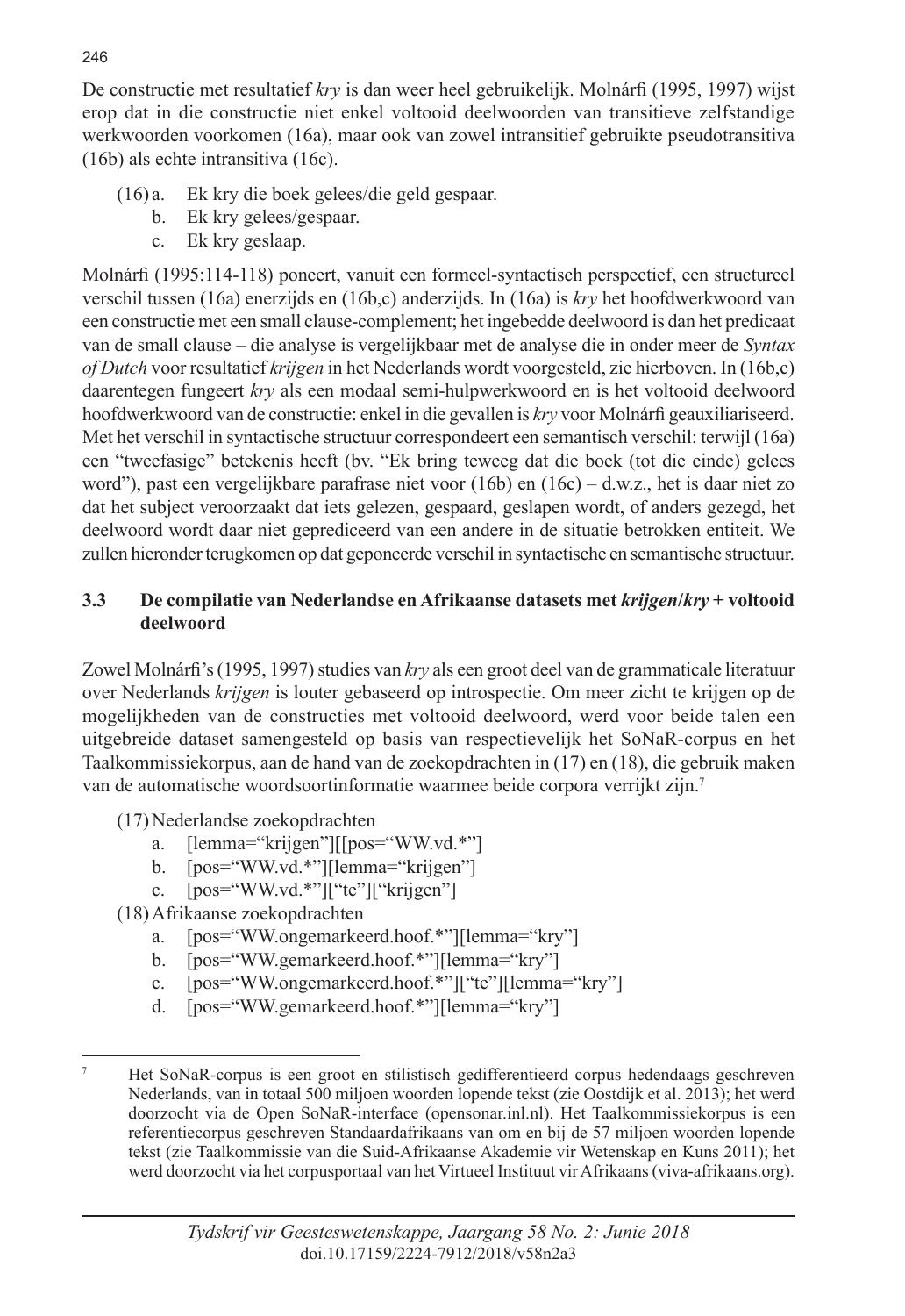De constructie met resultatief *kry* is dan weer heel gebruikelijk. Molnárfi (1995, 1997) wijst erop dat in die constructie niet enkel voltooid deelwoorden van transitieve zelfstandige werkwoorden voorkomen (16a), maar ook van zowel intransitief gebruikte pseudotransitiva (16b) als echte intransitiva (16c).

- (16) a. Ek kry die boek gelees/die geld gespaar.
	- b. Ek kry gelees/gespaar.
	- c. Ek kry geslaap.

Molnárfi (1995:114-118) poneert, vanuit een formeel-syntactisch perspectief, een structureel verschil tussen (16a) enerzijds en (16b,c) anderzijds. In (16a) is *kry* het hoofdwerkwoord van een constructie met een small clause-complement; het ingebedde deelwoord is dan het predicaat van de small clause – die analyse is vergelijkbaar met de analyse die in onder meer de *Syntax of Dutch* voor resultatief *krijgen* in het Nederlands wordt voorgesteld, zie hierboven. In (16b,c) daarentegen fungeert *kry* als een modaal semi-hulpwerkwoord en is het voltooid deelwoord hoofdwerkwoord van de constructie: enkel in die gevallen is *kry* voor Molnárfi geauxiliariseerd. Met het verschil in syntactische structuur correspondeert een semantisch verschil: terwijl (16a) een "tweefasige" betekenis heeft (bv. "Ek bring teweeg dat die boek (tot die einde) gelees word"), past een vergelijkbare parafrase niet voor (16b) en (16c) – d.w.z., het is daar niet zo dat het subject veroorzaakt dat iets gelezen, gespaard, geslapen wordt, of anders gezegd, het deelwoord wordt daar niet geprediceerd van een andere in de situatie betrokken entiteit. We zullen hieronder terugkomen op dat geponeerde verschil in syntactische en semantische structuur.

## **3.3 De compilatie van Nederlandse en Afrikaanse datasets met** *krijgen***/***kry* **+ voltooid deelwoord**

Zowel Molnárfi's (1995, 1997) studies van *kry* als een groot deel van de grammaticale literatuur over Nederlands *krijgen* is louter gebaseerd op introspectie. Om meer zicht te krijgen op de mogelijkheden van de constructies met voltooid deelwoord, werd voor beide talen een uitgebreide dataset samengesteld op basis van respectievelijk het SoNaR-corpus en het Taalkommissiekorpus, aan de hand van de zoekopdrachten in (17) en (18), die gebruik maken van de automatische woordsoortinformatie waarmee beide corpora verrijkt zijn.7

(17)Nederlandse zoekopdrachten

- a. [lemma="krijgen"][[pos="WW.vd.\*"]
- b. [pos="WW.vd.\*"][lemma="krijgen"]
- c. [pos="WW.vd.\*"]["te"]["krijgen"]
- (18)Afrikaanse zoekopdrachten
	- a. [pos="WW.ongemarkeerd.hoof.\*"][lemma="kry"]
	- b. [pos="WW.gemarkeerd.hoof.\*"][lemma="kry"]
	- c. [pos="WW.ongemarkeerd.hoof.\*"]["te"][lemma="kry"]
	- d. [pos="WW.gemarkeerd.hoof.\*"][lemma="kry"]

<sup>7</sup> Het SoNaR-corpus is een groot en stilistisch gedifferentieerd corpus hedendaags geschreven Nederlands, van in totaal 500 miljoen woorden lopende tekst (zie Oostdijk et al. 2013); het werd doorzocht via de Open SoNaR-interface (opensonar.inl.nl). Het Taalkommissiekorpus is een referentiecorpus geschreven Standaardafrikaans van om en bij de 57 miljoen woorden lopende tekst (zie Taalkommissie van die Suid-Afrikaanse Akademie vir Wetenskap en Kuns 2011); het werd doorzocht via het corpusportaal van het Virtueel Instituut vir Afrikaans (viva-afrikaans.org).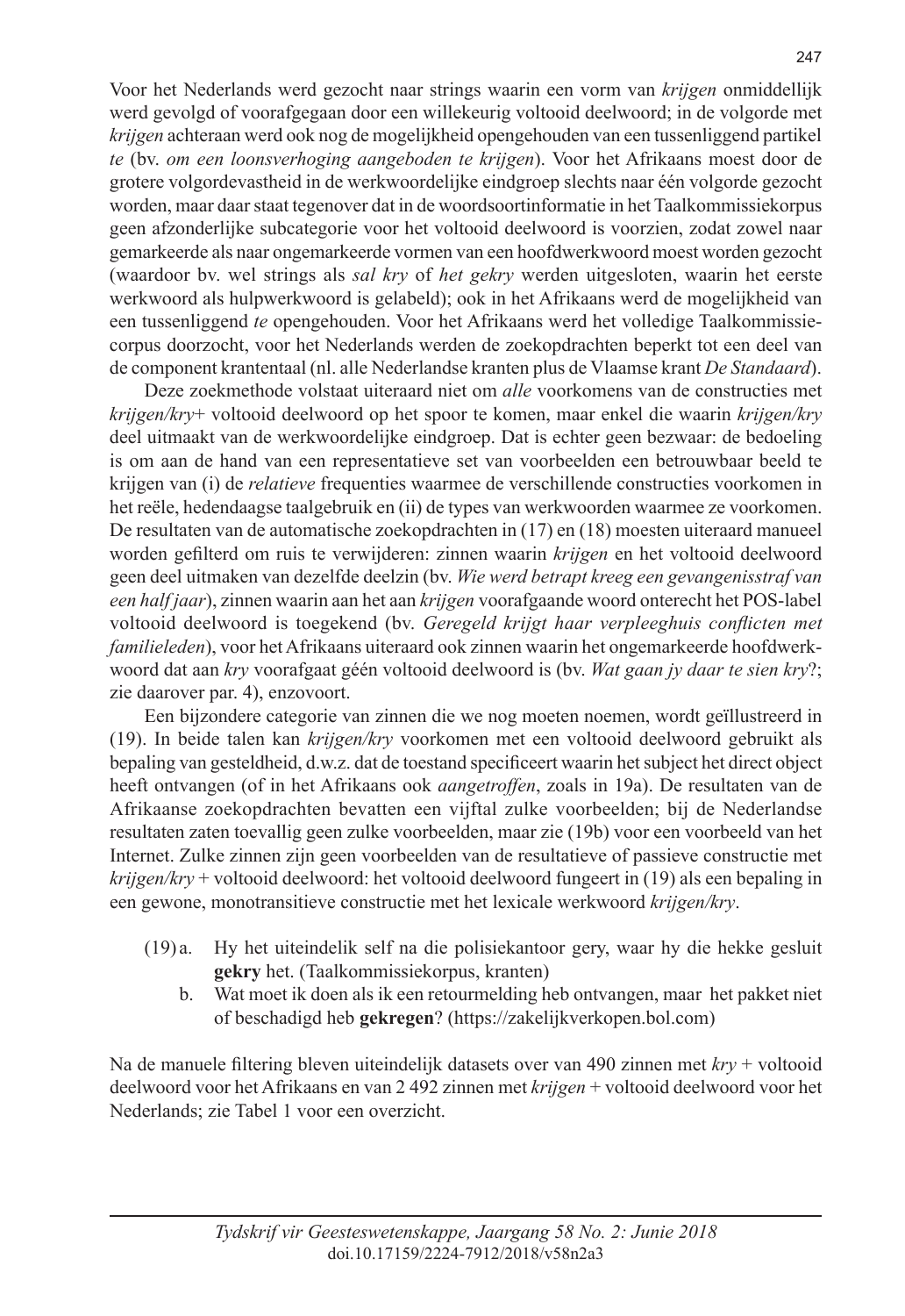Voor het Nederlands werd gezocht naar strings waarin een vorm van *krijgen* onmiddellijk werd gevolgd of voorafgegaan door een willekeurig voltooid deelwoord; in de volgorde met *krijgen* achteraan werd ook nog de mogelijkheid opengehouden van een tussenliggend partikel *te* (bv. *om een loonsverhoging aangeboden te krijgen*). Voor het Afrikaans moest door de grotere volgordevastheid in de werkwoordelijke eindgroep slechts naar één volgorde gezocht worden, maar daar staat tegenover dat in de woordsoortinformatie in het Taalkommissiekorpus geen afzonderlijke subcategorie voor het voltooid deelwoord is voorzien, zodat zowel naar gemarkeerde als naar ongemarkeerde vormen van een hoofdwerkwoord moest worden gezocht (waardoor bv. wel strings als *sal kry* of *het gekry* werden uitgesloten, waarin het eerste werkwoord als hulpwerkwoord is gelabeld); ook in het Afrikaans werd de mogelijkheid van een tussenliggend *te* opengehouden. Voor het Afrikaans werd het volledige Taalkommissiecorpus doorzocht, voor het Nederlands werden de zoekopdrachten beperkt tot een deel van de component krantentaal (nl. alle Nederlandse kranten plus de Vlaamse krant *De Standaard*).

Deze zoekmethode volstaat uiteraard niet om *alle* voorkomens van de constructies met *krijgen/kry*+ voltooid deelwoord op het spoor te komen, maar enkel die waarin *krijgen/kry* deel uitmaakt van de werkwoordelijke eindgroep. Dat is echter geen bezwaar: de bedoeling is om aan de hand van een representatieve set van voorbeelden een betrouwbaar beeld te krijgen van (i) de *relatieve* frequenties waarmee de verschillende constructies voorkomen in het reële, hedendaagse taalgebruik en (ii) de types van werkwoorden waarmee ze voorkomen. De resultaten van de automatische zoekopdrachten in (17) en (18) moesten uiteraard manueel worden gefilterd om ruis te verwijderen: zinnen waarin *krijgen* en het voltooid deelwoord geen deel uitmaken van dezelfde deelzin (bv. *Wie werd betrapt kreeg een gevangenisstraf van een half jaar*), zinnen waarin aan het aan *krijgen* voorafgaande woord onterecht het POS-label voltooid deelwoord is toegekend (bv. *Geregeld krijgt haar verpleeghuis conflicten met familieleden*), voor het Afrikaans uiteraard ook zinnen waarin het ongemarkeerde hoofdwerkwoord dat aan *kry* voorafgaat géén voltooid deelwoord is (bv. *Wat gaan jy daar te sien kry*?; zie daarover par. 4), enzovoort.

Een bijzondere categorie van zinnen die we nog moeten noemen, wordt geïllustreerd in (19). In beide talen kan *krijgen/kry* voorkomen met een voltooid deelwoord gebruikt als bepaling van gesteldheid, d.w.z. dat de toestand specificeert waarin het subject het direct object heeft ontvangen (of in het Afrikaans ook *aangetroffen*, zoals in 19a). De resultaten van de Afrikaanse zoekopdrachten bevatten een vijftal zulke voorbeelden; bij de Nederlandse resultaten zaten toevallig geen zulke voorbeelden, maar zie (19b) voor een voorbeeld van het Internet. Zulke zinnen zijn geen voorbeelden van de resultatieve of passieve constructie met *krijgen/kry* + voltooid deelwoord: het voltooid deelwoord fungeert in (19) als een bepaling in een gewone, monotransitieve constructie met het lexicale werkwoord *krijgen/kry*.

- (19) a. Hy het uiteindelik self na die polisiekantoor gery, waar hy die hekke gesluit **gekry** het. (Taalkommissiekorpus, kranten)
	- b. Wat moet ik doen als ik een retourmelding heb ontvangen, maar het pakket niet of beschadigd heb **gekregen**? (https://zakelijkverkopen.bol.com)

Na de manuele filtering bleven uiteindelijk datasets over van 490 zinnen met *kry* + voltooid deelwoord voor het Afrikaans en van 2 492 zinnen met *krijgen* + voltooid deelwoord voor het Nederlands; zie Tabel 1 voor een overzicht.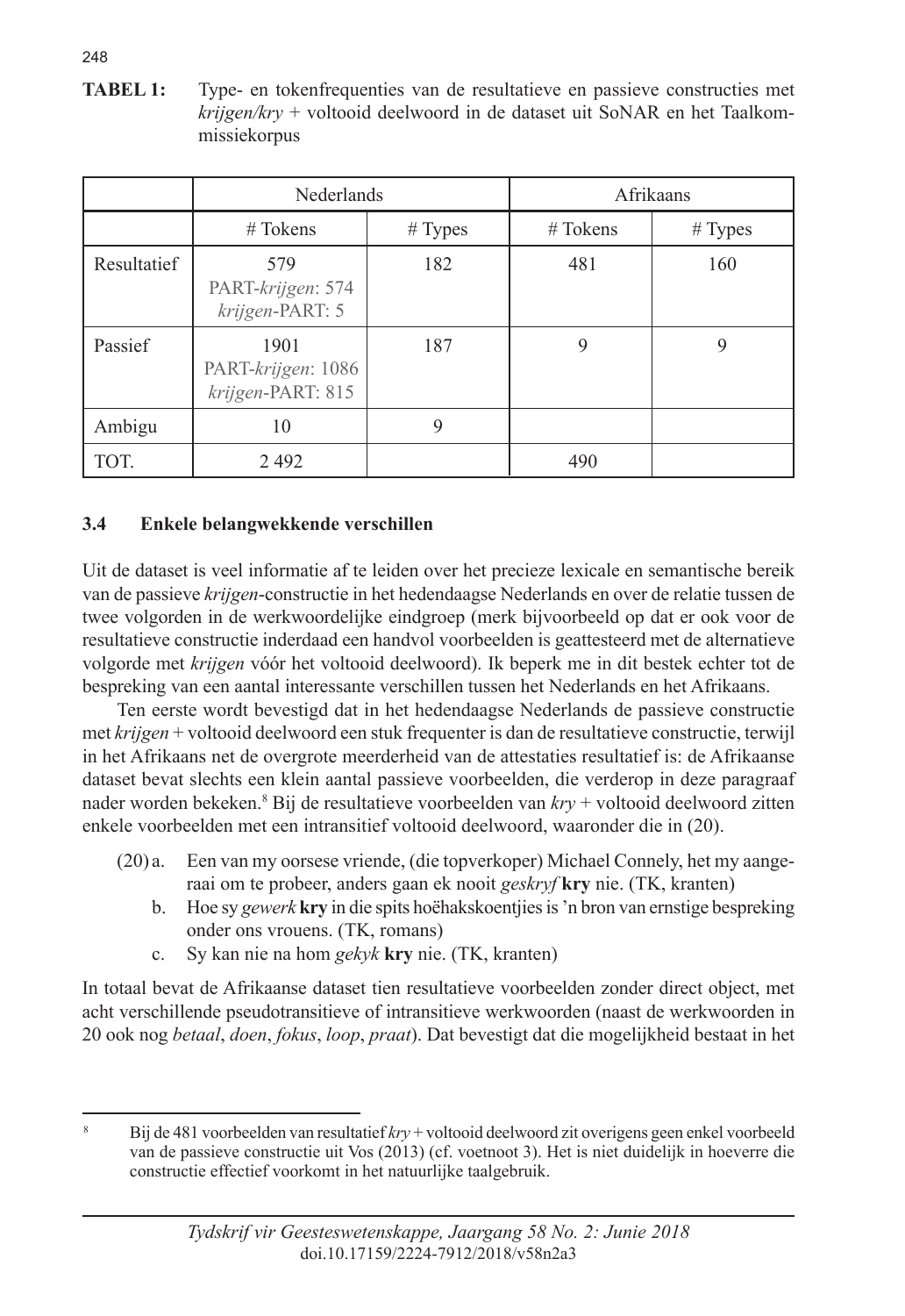**TABEL 1:** Type- en tokenfrequenties van de resultatieve en passieve constructies met *krijgen/kry* + voltooid deelwoord in de dataset uit SoNAR en het Taalkommissiekorpus

|             | <b>Nederlands</b>                               |         | Afrikaans  |         |
|-------------|-------------------------------------------------|---------|------------|---------|
|             | $#T$ okens                                      | # Types | $#T$ okens | # Types |
| Resultatief | 579<br>PART-krijgen: 574<br>krijgen-PART: 5     | 182     | 481        | 160     |
| Passief     | 1901<br>PART-krijgen: 1086<br>krijgen-PART: 815 | 187     | 9          | 9       |
| Ambigu      | 10                                              | 9       |            |         |
| TOT.        | 2492                                            |         | 490        |         |

# **3.4 Enkele belangwekkende verschillen**

Uit de dataset is veel informatie af te leiden over het precieze lexicale en semantische bereik van de passieve *krijgen*-constructie in het hedendaagse Nederlands en over de relatie tussen de twee volgorden in de werkwoordelijke eindgroep (merk bijvoorbeeld op dat er ook voor de resultatieve constructie inderdaad een handvol voorbeelden is geattesteerd met de alternatieve volgorde met *krijgen* vóór het voltooid deelwoord). Ik beperk me in dit bestek echter tot de bespreking van een aantal interessante verschillen tussen het Nederlands en het Afrikaans.

Ten eerste wordt bevestigd dat in het hedendaagse Nederlands de passieve constructie met *krijgen* + voltooid deelwoord een stuk frequenter is dan de resultatieve constructie, terwijl in het Afrikaans net de overgrote meerderheid van de attestaties resultatief is: de Afrikaanse dataset bevat slechts een klein aantal passieve voorbeelden, die verderop in deze paragraaf nader worden bekeken.8 Bij de resultatieve voorbeelden van *kry* + voltooid deelwoord zitten enkele voorbeelden met een intransitief voltooid deelwoord, waaronder die in (20).

- (20) a. Een van my oorsese vriende, (die topverkoper) Michael Connely, het my aangeraai om te probeer, anders gaan ek nooit *geskryf* **kry** nie. (TK, kranten)
	- b. Hoe sy *gewerk* **kry** in die spits hoëhakskoentjies is 'n bron van ernstige bespreking onder ons vrouens. (TK, romans)
	- c. Sy kan nie na hom *gekyk* **kry** nie. (TK, kranten)

In totaal bevat de Afrikaanse dataset tien resultatieve voorbeelden zonder direct object, met acht verschillende pseudotransitieve of intransitieve werkwoorden (naast de werkwoorden in 20 ook nog *betaal*, *doen*, *fokus*, *loop*, *praat*). Dat bevestigt dat die mogelijkheid bestaat in het

248

<sup>8</sup> Bij de 481 voorbeelden van resultatief *kry* + voltooid deelwoord zit overigens geen enkel voorbeeld van de passieve constructie uit Vos (2013) (cf. voetnoot 3). Het is niet duidelijk in hoeverre die constructie effectief voorkomt in het natuurlijke taalgebruik.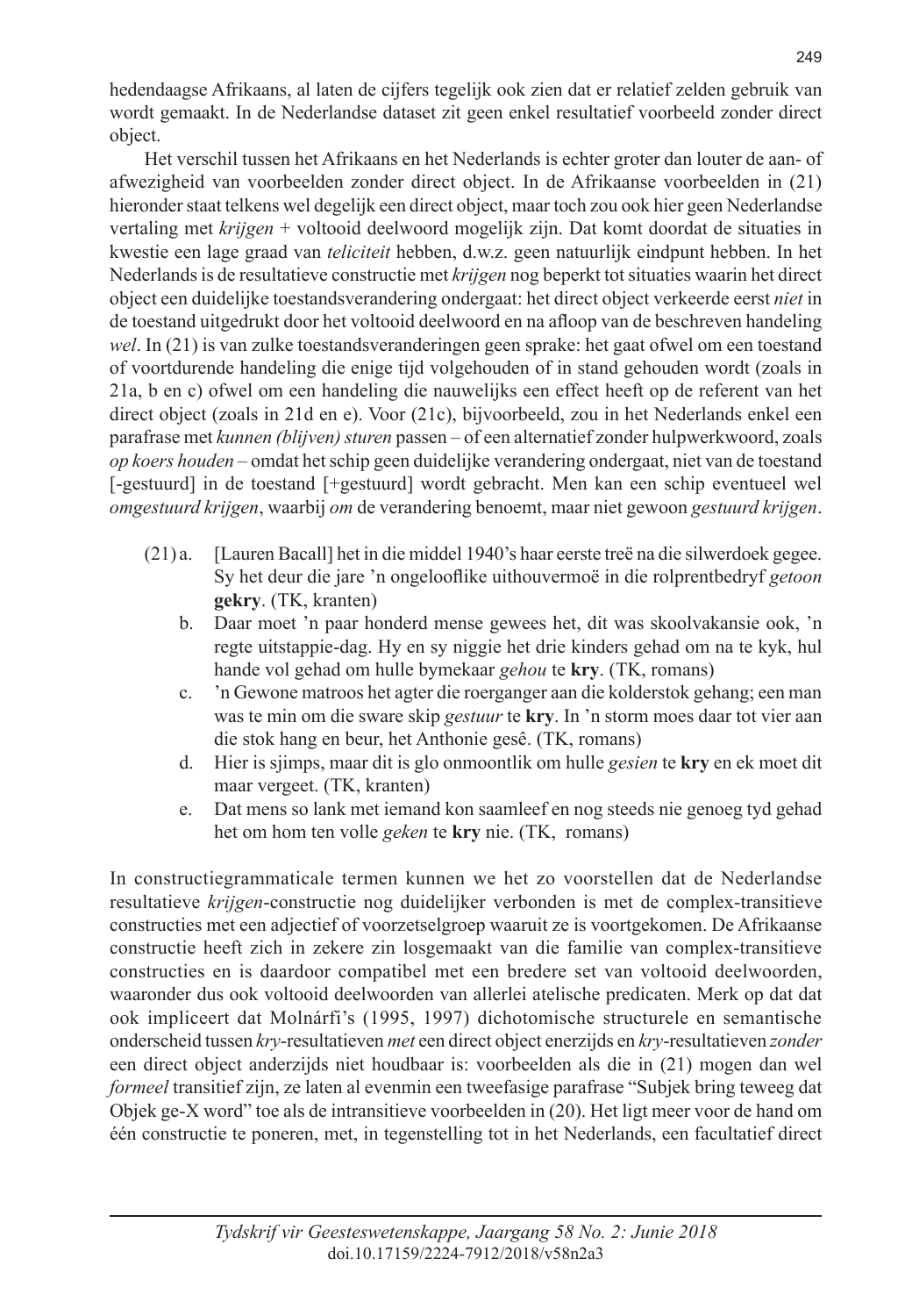hedendaagse Afrikaans, al laten de cijfers tegelijk ook zien dat er relatief zelden gebruik van wordt gemaakt. In de Nederlandse dataset zit geen enkel resultatief voorbeeld zonder direct object.

Het verschil tussen het Afrikaans en het Nederlands is echter groter dan louter de aan- of afwezigheid van voorbeelden zonder direct object. In de Afrikaanse voorbeelden in (21) hieronder staat telkens wel degelijk een direct object, maar toch zou ook hier geen Nederlandse vertaling met *krijgen* + voltooid deelwoord mogelijk zijn. Dat komt doordat de situaties in kwestie een lage graad van *teliciteit* hebben, d.w.z. geen natuurlijk eindpunt hebben. In het Nederlands is de resultatieve constructie met *krijgen* nog beperkt tot situaties waarin het direct object een duidelijke toestandsverandering ondergaat: het direct object verkeerde eerst *niet* in de toestand uitgedrukt door het voltooid deelwoord en na afloop van de beschreven handeling *wel*. In (21) is van zulke toestandsveranderingen geen sprake: het gaat ofwel om een toestand of voortdurende handeling die enige tijd volgehouden of in stand gehouden wordt (zoals in 21a, b en c) ofwel om een handeling die nauwelijks een effect heeft op de referent van het direct object (zoals in 21d en e). Voor (21c), bijvoorbeeld, zou in het Nederlands enkel een parafrase met *kunnen (blijven) sturen* passen – of een alternatief zonder hulpwerkwoord, zoals *op koers houden* – omdat het schip geen duidelijke verandering ondergaat, niet van de toestand [-gestuurd] in de toestand [+gestuurd] wordt gebracht. Men kan een schip eventueel wel *omgestuurd krijgen*, waarbij *om* de verandering benoemt, maar niet gewoon *gestuurd krijgen*.

- (21) a. [Lauren Bacall] het in die middel 1940's haar eerste treë na die silwerdoek gegee. Sy het deur die jare 'n ongelooflike uithouvermoë in die rolprentbedryf *getoon*  **gekry**. (TK, kranten)
	- b. Daar moet 'n paar honderd mense gewees het, dit was skoolvakansie ook, 'n regte uitstappie-dag. Hy en sy niggie het drie kinders gehad om na te kyk, hul hande vol gehad om hulle bymekaar *gehou* te **kry**. (TK, romans)
	- c. 'n Gewone matroos het agter die roerganger aan die kolderstok gehang; een man was te min om die sware skip *gestuur* te **kry**. In 'n storm moes daar tot vier aan die stok hang en beur, het Anthonie gesê. (TK, romans)
	- d. Hier is sjimps, maar dit is glo onmoontlik om hulle *gesien* te **kry** en ek moet dit maar vergeet. (TK, kranten)
	- e. Dat mens so lank met iemand kon saamleef en nog steeds nie genoeg tyd gehad het om hom ten volle *geken* te **kry** nie. (TK, romans)

In constructiegrammaticale termen kunnen we het zo voorstellen dat de Nederlandse resultatieve *krijgen*-constructie nog duidelijker verbonden is met de complex-transitieve constructies met een adjectief of voorzetselgroep waaruit ze is voortgekomen. De Afrikaanse constructie heeft zich in zekere zin losgemaakt van die familie van complex-transitieve constructies en is daardoor compatibel met een bredere set van voltooid deelwoorden, waaronder dus ook voltooid deelwoorden van allerlei atelische predicaten. Merk op dat dat ook impliceert dat Molnárfi's (1995, 1997) dichotomische structurele en semantische onderscheid tussen *kry*-resultatieven *met* een direct object enerzijds en *kry*-resultatieven *zonder* een direct object anderzijds niet houdbaar is: voorbeelden als die in (21) mogen dan wel *formeel* transitief zijn, ze laten al evenmin een tweefasige parafrase "Subjek bring teweeg dat Objek ge-X word" toe als de intransitieve voorbeelden in (20). Het ligt meer voor de hand om één constructie te poneren, met, in tegenstelling tot in het Nederlands, een facultatief direct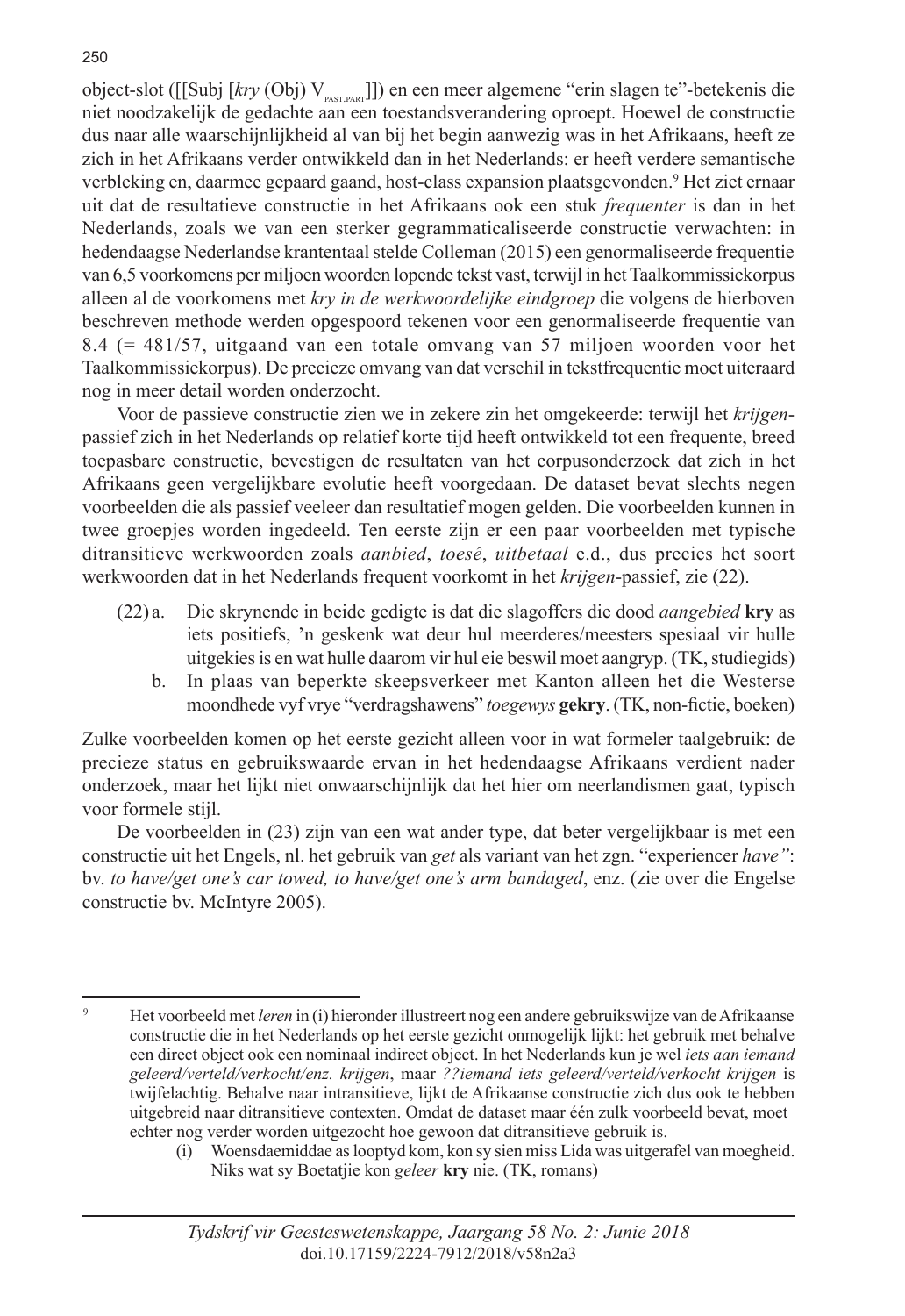object-slot ([[Subj [kry (Obj) V<sub>pastrapar</sub>]]) en een meer algemene "erin slagen te"-betekenis die niet noodzakelijk de gedachte aan een toestandsverandering oproept. Hoewel de constructie dus naar alle waarschijnlijkheid al van bij het begin aanwezig was in het Afrikaans, heeft ze zich in het Afrikaans verder ontwikkeld dan in het Nederlands: er heeft verdere semantische verbleking en, daarmee gepaard gaand, host-class expansion plaatsgevonden.<sup>9</sup> Het ziet ernaar uit dat de resultatieve constructie in het Afrikaans ook een stuk *frequenter* is dan in het Nederlands, zoals we van een sterker gegrammaticaliseerde constructie verwachten: in hedendaagse Nederlandse krantentaal stelde Colleman (2015) een genormaliseerde frequentie van 6,5 voorkomens per miljoen woorden lopende tekst vast, terwijl in het Taalkommissiekorpus alleen al de voorkomens met *kry in de werkwoordelijke eindgroep* die volgens de hierboven beschreven methode werden opgespoord tekenen voor een genormaliseerde frequentie van 8.4 (= 481/57, uitgaand van een totale omvang van 57 miljoen woorden voor het Taalkommissiekorpus). De precieze omvang van dat verschil in tekstfrequentie moet uiteraard nog in meer detail worden onderzocht.

Voor de passieve constructie zien we in zekere zin het omgekeerde: terwijl het *krijgen*passief zich in het Nederlands op relatief korte tijd heeft ontwikkeld tot een frequente, breed toepasbare constructie, bevestigen de resultaten van het corpusonderzoek dat zich in het Afrikaans geen vergelijkbare evolutie heeft voorgedaan. De dataset bevat slechts negen voorbeelden die als passief veeleer dan resultatief mogen gelden. Die voorbeelden kunnen in twee groepjes worden ingedeeld. Ten eerste zijn er een paar voorbeelden met typische ditransitieve werkwoorden zoals *aanbied*, *toesê*, *uitbetaal* e.d., dus precies het soort werkwoorden dat in het Nederlands frequent voorkomt in het *krijgen*-passief, zie (22).

- (22) a. Die skrynende in beide gedigte is dat die slagoffers die dood *aangebied* **kry** as iets positiefs, 'n geskenk wat deur hul meerderes/meesters spesiaal vir hulle uitgekies is en wat hulle daarom vir hul eie beswil moet aangryp. (TK, studiegids)
	- b. In plaas van beperkte skeepsverkeer met Kanton alleen het die Westerse moondhede vyf vrye "verdragshawens" *toegewys* **gekry**. (TK, non-fictie, boeken)

Zulke voorbeelden komen op het eerste gezicht alleen voor in wat formeler taalgebruik: de precieze status en gebruikswaarde ervan in het hedendaagse Afrikaans verdient nader onderzoek, maar het lijkt niet onwaarschijnlijk dat het hier om neerlandismen gaat, typisch voor formele stijl.

De voorbeelden in (23) zijn van een wat ander type, dat beter vergelijkbaar is met een constructie uit het Engels, nl. het gebruik van *get* als variant van het zgn. "experiencer *have"*: bv. *to have/get one's car towed, to have/get one's arm bandaged*, enz. (zie over die Engelse constructie bv. McIntyre 2005).

<sup>9</sup> Het voorbeeld met *leren* in (i) hieronder illustreert nog een andere gebruikswijze van de Afrikaanse constructie die in het Nederlands op het eerste gezicht onmogelijk lijkt: het gebruik met behalve een direct object ook een nominaal indirect object. In het Nederlands kun je wel *iets aan iemand geleerd/verteld/verkocht/enz. krijgen*, maar *??iemand iets geleerd/verteld/verkocht krijgen* is twijfelachtig. Behalve naar intransitieve, lijkt de Afrikaanse constructie zich dus ook te hebben uitgebreid naar ditransitieve contexten. Omdat de dataset maar één zulk voorbeeld bevat, moet echter nog verder worden uitgezocht hoe gewoon dat ditransitieve gebruik is.

 <sup>(</sup>i) Woensdaemiddae as looptyd kom, kon sy sien miss Lida was uitgerafel van moegheid. Niks wat sy Boetatjie kon *geleer* **kry** nie. (TK, romans)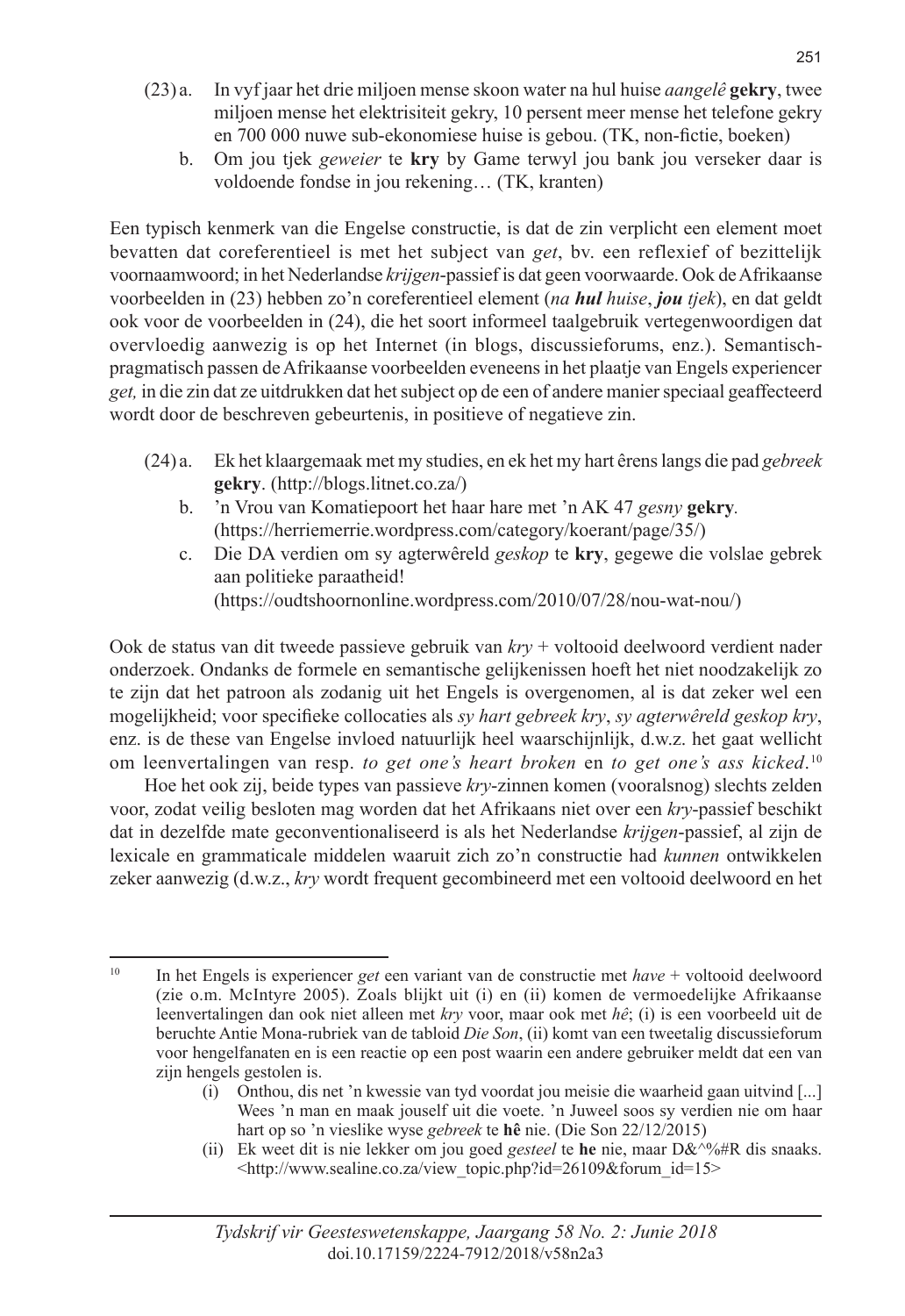- (23) a. In vyf jaar het drie miljoen mense skoon water na hul huise *aangelê* **gekry**, twee miljoen mense het elektrisiteit gekry, 10 persent meer mense het telefone gekry en 700 000 nuwe sub-ekonomiese huise is gebou. (TK, non-fictie, boeken)
	- b. Om jou tjek *geweier* te **kry** by Game terwyl jou bank jou verseker daar is voldoende fondse in jou rekening… (TK, kranten)

Een typisch kenmerk van die Engelse constructie, is dat de zin verplicht een element moet bevatten dat coreferentieel is met het subject van *get*, bv. een reflexief of bezittelijk voornaamwoord; in het Nederlandse *krijgen*-passief is dat geen voorwaarde. Ook de Afrikaanse voorbeelden in (23) hebben zo'n coreferentieel element (*na hul huise*, *jou tjek*), en dat geldt ook voor de voorbeelden in (24), die het soort informeel taalgebruik vertegenwoordigen dat overvloedig aanwezig is op het Internet (in blogs, discussieforums, enz.). Semantischpragmatisch passen de Afrikaanse voorbeelden eveneens in het plaatje van Engels experiencer *get,* in die zin dat ze uitdrukken dat het subject op de een of andere manier speciaal geaffecteerd wordt door de beschreven gebeurtenis, in positieve of negatieve zin.

- (24) a. Ek het klaargemaak met my studies, en ek het my hart êrens langs die pad *gebreek* **gekry**. (http://blogs.litnet.co.za/)
	- b. 'n Vrou van Komatiepoort het haar hare met 'n AK 47 *gesny* **gekry***.* (https://herriemerrie.wordpress.com/category/koerant/page/35/)
	- c. Die DA verdien om sy agterwêreld *geskop* te **kry**, gegewe die volslae gebrek aan politieke paraatheid! (https://oudtshoornonline.wordpress.com/2010/07/28/nou-wat-nou/)

Ook de status van dit tweede passieve gebruik van *kry* + voltooid deelwoord verdient nader onderzoek. Ondanks de formele en semantische gelijkenissen hoeft het niet noodzakelijk zo te zijn dat het patroon als zodanig uit het Engels is overgenomen, al is dat zeker wel een mogelijkheid; voor specifieke collocaties als *sy hart gebreek kry*, *sy agterwêreld geskop kry*, enz. is de these van Engelse invloed natuurlijk heel waarschijnlijk, d.w.z. het gaat wellicht om leenvertalingen van resp. *to get one's heart broken* en *to get one's ass kicked*. 10

Hoe het ook zij, beide types van passieve *kry*-zinnen komen (vooralsnog) slechts zelden voor, zodat veilig besloten mag worden dat het Afrikaans niet over een *kry*-passief beschikt dat in dezelfde mate geconventionaliseerd is als het Nederlandse *krijgen*-passief, al zijn de lexicale en grammaticale middelen waaruit zich zo'n constructie had *kunnen* ontwikkelen zeker aanwezig (d.w.z., *kry* wordt frequent gecombineerd met een voltooid deelwoord en het

 (i) Onthou, dis net 'n kwessie van tyd voordat jou meisie die waarheid gaan uitvind [...] Wees 'n man en maak jouself uit die voete. 'n Juweel soos sy verdien nie om haar hart op so 'n vieslike wyse *gebreek* te **hê** nie. (Die Son 22/12/2015)

<sup>10</sup> In het Engels is experiencer *get* een variant van de constructie met *have* + voltooid deelwoord (zie o.m. McIntyre 2005). Zoals blijkt uit (i) en (ii) komen de vermoedelijke Afrikaanse leenvertalingen dan ook niet alleen met *kry* voor, maar ook met *hê*; (i) is een voorbeeld uit de beruchte Antie Mona-rubriek van de tabloid *Die Son*, (ii) komt van een tweetalig discussieforum voor hengelfanaten en is een reactie op een post waarin een andere gebruiker meldt dat een van zijn hengels gestolen is.

 <sup>(</sup>ii) Ek weet dit is nie lekker om jou goed *gesteel* te **he** nie, maar D&^%#R dis snaaks. <http://www.sealine.co.za/view\_topic.php?id=26109&forum\_id=15>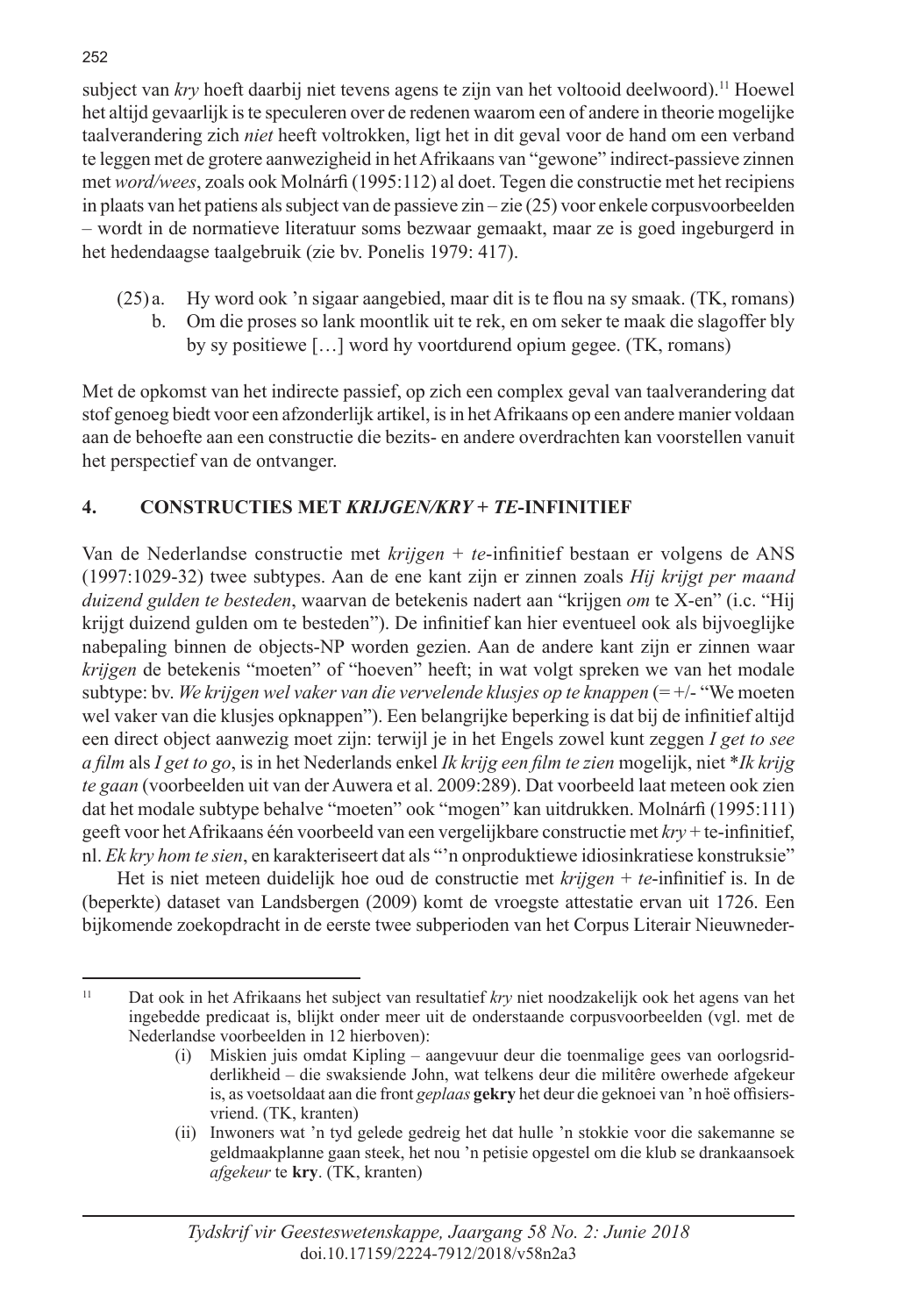subject van *kry* hoeft daarbij niet tevens agens te zijn van het voltooid deelwoord).<sup>11</sup> Hoewel het altijd gevaarlijk is te speculeren over de redenen waarom een of andere in theorie mogelijke taalverandering zich *niet* heeft voltrokken, ligt het in dit geval voor de hand om een verband te leggen met de grotere aanwezigheid in het Afrikaans van "gewone" indirect-passieve zinnen met *word/wees*, zoals ook Molnárfi (1995:112) al doet. Tegen die constructie met het recipiens in plaats van het patiens als subject van de passieve zin – zie (25) voor enkele corpusvoorbeelden – wordt in de normatieve literatuur soms bezwaar gemaakt, maar ze is goed ingeburgerd in het hedendaagse taalgebruik (zie bv. Ponelis 1979: 417).

(25) a. Hy word ook 'n sigaar aangebied, maar dit is te flou na sy smaak. (TK, romans) b. Om die proses so lank moontlik uit te rek, en om seker te maak die slagoffer bly by sy positiewe […] word hy voortdurend opium gegee. (TK, romans)

Met de opkomst van het indirecte passief, op zich een complex geval van taalverandering dat stof genoeg biedt voor een afzonderlijk artikel, is in het Afrikaans op een andere manier voldaan aan de behoefte aan een constructie die bezits- en andere overdrachten kan voorstellen vanuit het perspectief van de ontvanger.

# **4. CONSTRUCTIES MET** *KRIJGEN/KRY* **+** *TE***-INFINITIEF**

Van de Nederlandse constructie met *krijgen* + *te*-infinitief bestaan er volgens de ANS (1997:1029-32) twee subtypes. Aan de ene kant zijn er zinnen zoals *Hij krijgt per maand duizend gulden te besteden*, waarvan de betekenis nadert aan "krijgen *om* te X-en" (i.c. "Hij krijgt duizend gulden om te besteden"). De infinitief kan hier eventueel ook als bijvoeglijke nabepaling binnen de objects-NP worden gezien. Aan de andere kant zijn er zinnen waar *krijgen* de betekenis "moeten" of "hoeven" heeft; in wat volgt spreken we van het modale subtype: bv. *We krijgen wel vaker van die vervelende klusjes op te knappen* (= +/- "We moeten wel vaker van die klusjes opknappen"). Een belangrijke beperking is dat bij de infinitief altijd een direct object aanwezig moet zijn: terwijl je in het Engels zowel kunt zeggen *I get to see a film* als *I get to go*, is in het Nederlands enkel *Ik krijg een film te zien* mogelijk, niet \**Ik krijg te gaan* (voorbeelden uit van der Auwera et al. 2009:289). Dat voorbeeld laat meteen ook zien dat het modale subtype behalve "moeten" ook "mogen" kan uitdrukken. Molnárfi (1995:111) geeft voor het Afrikaans één voorbeeld van een vergelijkbare constructie met *kry* + te-infinitief, nl. *Ek kry hom te sien*, en karakteriseert dat als "'n onproduktiewe idiosinkratiese konstruksie"

Het is niet meteen duidelijk hoe oud de constructie met *krijgen* + *te*-infinitief is. In de (beperkte) dataset van Landsbergen (2009) komt de vroegste attestatie ervan uit 1726. Een bijkomende zoekopdracht in de eerste twee subperioden van het Corpus Literair Nieuwneder-

<sup>11</sup> Dat ook in het Afrikaans het subject van resultatief *kry* niet noodzakelijk ook het agens van het ingebedde predicaat is, blijkt onder meer uit de onderstaande corpusvoorbeelden (vgl. met de Nederlandse voorbeelden in 12 hierboven):

 <sup>(</sup>i) Miskien juis omdat Kipling – aangevuur deur die toenmalige gees van oorlogsridderlikheid – die swaksiende John, wat telkens deur die militêre owerhede afgekeur is, as voetsoldaat aan die front *geplaas* **gekry** het deur die geknoei van 'n hoë offisiersvriend. (TK, kranten)

 <sup>(</sup>ii) Inwoners wat 'n tyd gelede gedreig het dat hulle 'n stokkie voor die sakemanne se geldmaakplanne gaan steek, het nou 'n petisie opgestel om die klub se drankaansoek *afgekeur* te **kry**. (TK, kranten)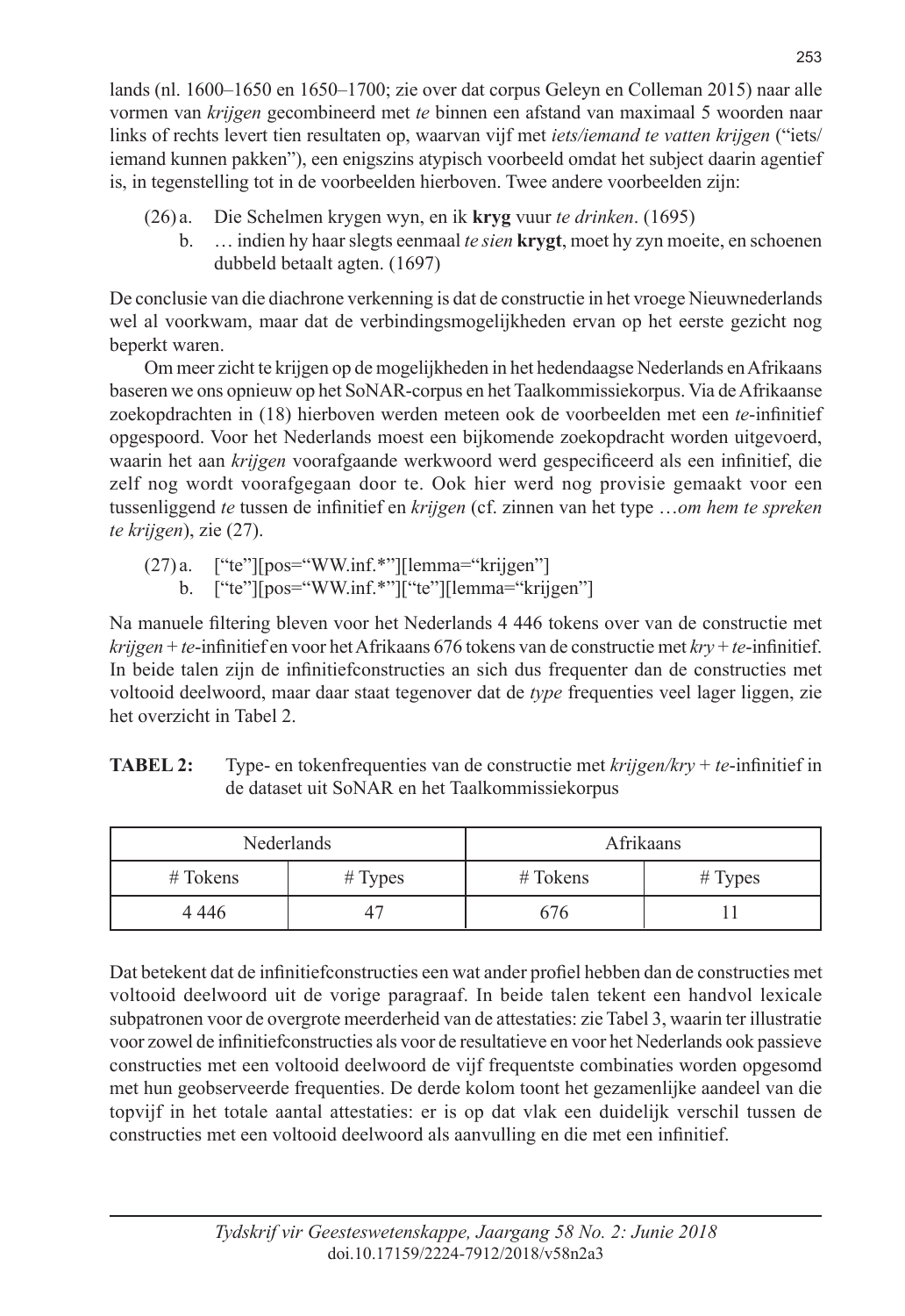lands (nl. 1600–1650 en 1650–1700; zie over dat corpus Geleyn en Colleman 2015) naar alle vormen van *krijgen* gecombineerd met *te* binnen een afstand van maximaal 5 woorden naar links of rechts levert tien resultaten op, waarvan vijf met *iets/iemand te vatten krijgen* ("iets/ iemand kunnen pakken"), een enigszins atypisch voorbeeld omdat het subject daarin agentief is, in tegenstelling tot in de voorbeelden hierboven. Twee andere voorbeelden zijn:

- (26) a. Die Schelmen krygen wyn, en ik **kryg** vuur *te drinken*. (1695)
	- b. … indien hy haar slegts eenmaal *te sien* **krygt**, moet hy zyn moeite, en schoenen dubbeld betaalt agten. (1697)

De conclusie van die diachrone verkenning is dat de constructie in het vroege Nieuwnederlands wel al voorkwam, maar dat de verbindingsmogelijkheden ervan op het eerste gezicht nog beperkt waren.

Om meer zicht te krijgen op de mogelijkheden in het hedendaagse Nederlands en Afrikaans baseren we ons opnieuw op het SoNAR-corpus en het Taalkommissiekorpus. Via de Afrikaanse zoekopdrachten in (18) hierboven werden meteen ook de voorbeelden met een *te*-infinitief opgespoord. Voor het Nederlands moest een bijkomende zoekopdracht worden uitgevoerd, waarin het aan *krijgen* voorafgaande werkwoord werd gespecificeerd als een infinitief, die zelf nog wordt voorafgegaan door te. Ook hier werd nog provisie gemaakt voor een tussenliggend *te* tussen de infinitief en *krijgen* (cf. zinnen van het type …*om hem te spreken te krijgen*), zie (27).

- $(27)a$ . ["te"][pos="WW.inf.\*"][lemma="krijgen"]
	- b. ["te"][pos="WW.inf.\*"]["te"][lemma="krijgen"]

Na manuele filtering bleven voor het Nederlands 4 446 tokens over van de constructie met *krijgen* + *te*-infinitief en voor het Afrikaans 676 tokens van de constructie met *kry* + *te*-infinitief. In beide talen zijn de infinitiefconstructies an sich dus frequenter dan de constructies met voltooid deelwoord, maar daar staat tegenover dat de *type* frequenties veel lager liggen, zie het overzicht in Tabel 2.

| Nederlands |         | Afrikaans  |         |  |
|------------|---------|------------|---------|--|
| $#$ Tokens | # Types | $#T$ okens | # Types |  |
| 4 4 4 6    |         | 676        |         |  |

**TABEL 2:** Type- en tokenfrequenties van de constructie met *krijgen/kry* + *te*-infinitief in de dataset uit SoNAR en het Taalkommissiekorpus

Dat betekent dat de infinitiefconstructies een wat ander profiel hebben dan de constructies met voltooid deelwoord uit de vorige paragraaf. In beide talen tekent een handvol lexicale subpatronen voor de overgrote meerderheid van de attestaties: zie Tabel 3, waarin ter illustratie voor zowel de infinitiefconstructies als voor de resultatieve en voor het Nederlands ook passieve constructies met een voltooid deelwoord de vijf frequentste combinaties worden opgesomd met hun geobserveerde frequenties. De derde kolom toont het gezamenlijke aandeel van die topvijf in het totale aantal attestaties: er is op dat vlak een duidelijk verschil tussen de constructies met een voltooid deelwoord als aanvulling en die met een infinitief.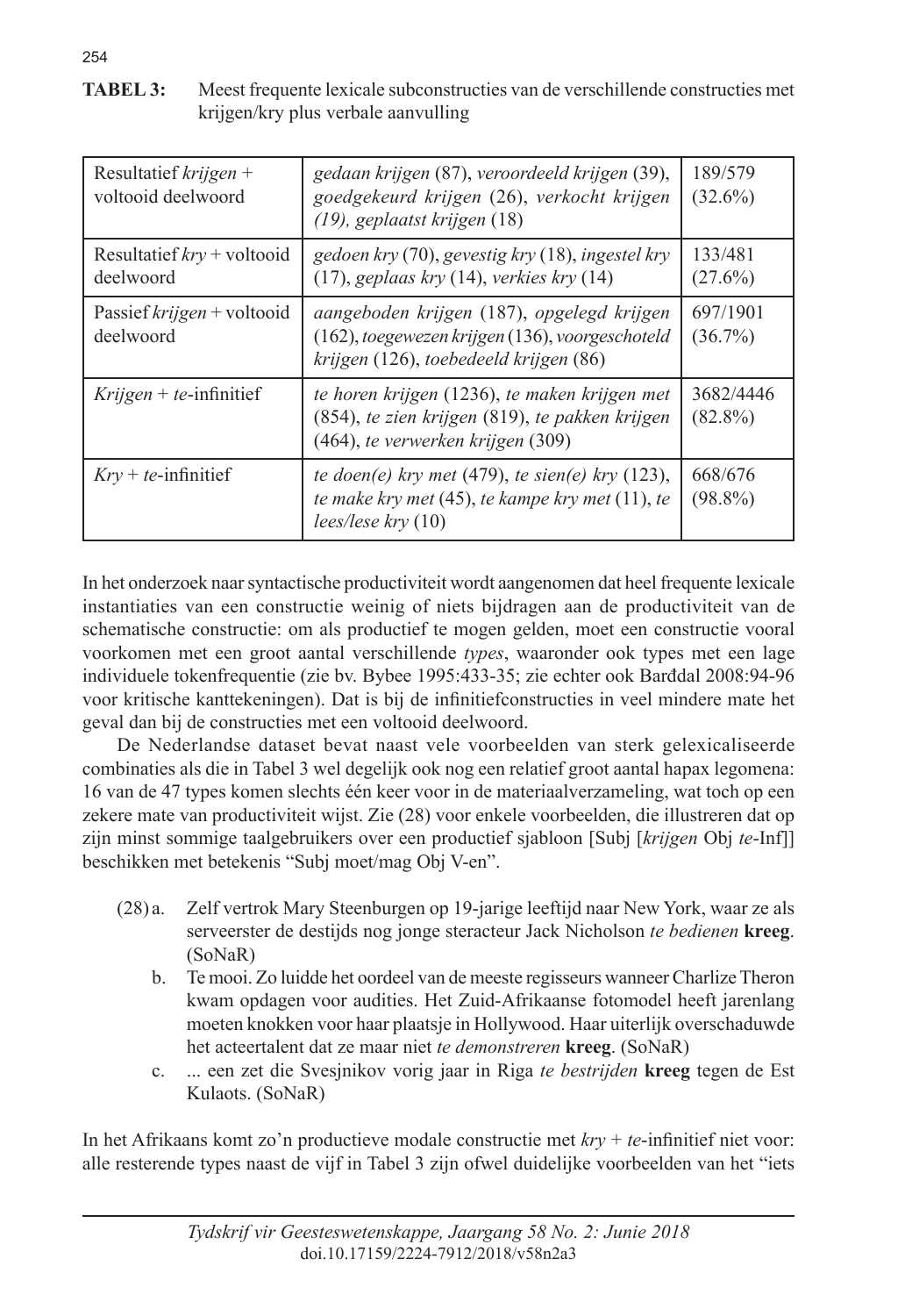**TABEL 3:** Meest frequente lexicale subconstructies van de verschillende constructies met krijgen/kry plus verbale aanvulling

| Resultatief $krijgen +$<br>voltooid deelwoord | gedaan krijgen (87), veroordeeld krijgen (39),<br>goedgekeurd krijgen (26), verkocht krijgen<br>(19), geplaatst krijgen (18)            | 189/579<br>$(32.6\%)$   |
|-----------------------------------------------|-----------------------------------------------------------------------------------------------------------------------------------------|-------------------------|
| Resultatief $kry$ + voltooid<br>deelwoord     | gedoen kry (70), gevestig kry (18), ingestel kry<br>$(17)$ , geplaas kry $(14)$ , verkies kry $(14)$                                    | 133/481<br>$(27.6\%)$   |
| Passief krijgen + voltooid<br>deelwoord       | aangeboden krijgen (187), opgelegd krijgen<br>(162), toegewezen krijgen (136), voorgeschoteld<br>krijgen (126), toebedeeld krijgen (86) | 697/1901<br>$(36.7\%)$  |
| Krijgen + te-infinitief                       | te horen krijgen (1236), te maken krijgen met<br>(854), te zien krijgen (819), te pakken krijgen<br>(464), te verwerken krijgen (309)   | 3682/4446<br>$(82.8\%)$ |
| $Kry + te$ -infinitief                        | te doen(e) kry met (479), te sien(e) kry (123),<br>te make kry met (45), te kampe kry met (11), te<br>$lees/lese$ kry $(10)$            | 668/676<br>$(98.8\%)$   |

In het onderzoek naar syntactische productiviteit wordt aangenomen dat heel frequente lexicale instantiaties van een constructie weinig of niets bijdragen aan de productiviteit van de schematische constructie: om als productief te mogen gelden, moet een constructie vooral voorkomen met een groot aantal verschillende *types*, waaronder ook types met een lage individuele tokenfrequentie (zie bv. Bybee 1995:433-35; zie echter ook Barđdal 2008:94-96 voor kritische kanttekeningen). Dat is bij de infinitiefconstructies in veel mindere mate het geval dan bij de constructies met een voltooid deelwoord.

De Nederlandse dataset bevat naast vele voorbeelden van sterk gelexicaliseerde combinaties als die in Tabel 3 wel degelijk ook nog een relatief groot aantal hapax legomena: 16 van de 47 types komen slechts één keer voor in de materiaalverzameling, wat toch op een zekere mate van productiviteit wijst. Zie (28) voor enkele voorbeelden, die illustreren dat op zijn minst sommige taalgebruikers over een productief sjabloon [Subj [*krijgen* Obj *te*-Inf]] beschikken met betekenis "Subj moet/mag Obj V-en".

- (28) a. Zelf vertrok Mary Steenburgen op 19-jarige leeftijd naar New York, waar ze als serveerster de destijds nog jonge steracteur Jack Nicholson *te bedienen* **kreeg**. (SoNaR)
	- b. Te mooi. Zo luidde het oordeel van de meeste regisseurs wanneer Charlize Theron kwam opdagen voor audities. Het Zuid-Afrikaanse fotomodel heeft jarenlang moeten knokken voor haar plaatsje in Hollywood. Haar uiterlijk overschaduwde het acteertalent dat ze maar niet *te demonstreren* **kreeg**. (SoNaR)
	- c. ... een zet die Svesjnikov vorig jaar in Riga *te bestrijden* **kreeg** tegen de Est Kulaots. (SoNaR)

In het Afrikaans komt zo'n productieve modale constructie met *kry* + *te*-infinitief niet voor: alle resterende types naast de vijf in Tabel 3 zijn ofwel duidelijke voorbeelden van het "iets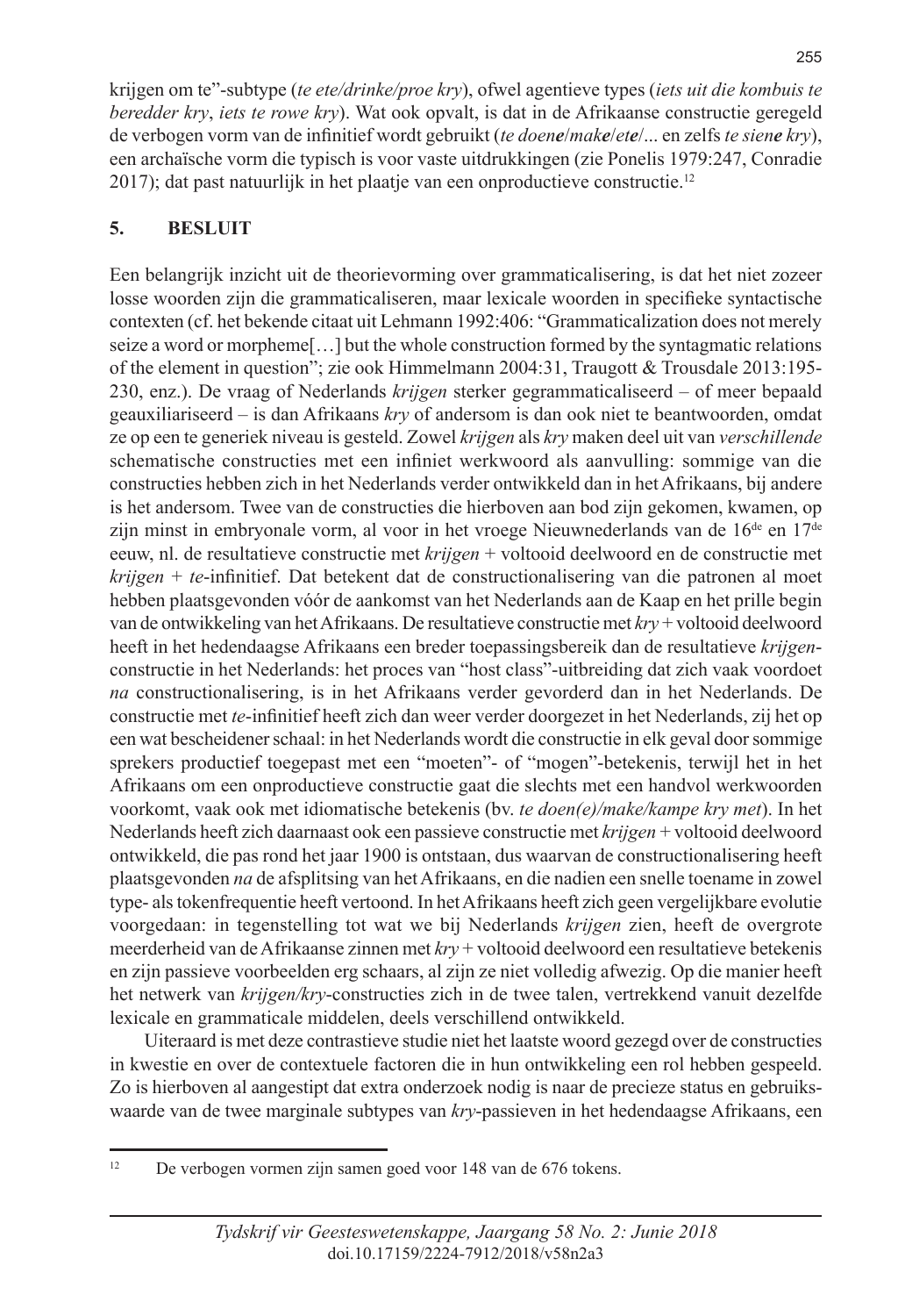krijgen om te"-subtype (*te ete/drinke/proe kry*), ofwel agentieve types (*iets uit die kombuis te beredder kry*, *iets te rowe kry*). Wat ook opvalt, is dat in de Afrikaanse constructie geregeld de verbogen vorm van de infinitief wordt gebruikt (*te doene*/*make*/*ete*/... en zelfs *te siene kry*), een archaïsche vorm die typisch is voor vaste uitdrukkingen (zie Ponelis 1979:247, Conradie 2017); dat past natuurlijk in het plaatje van een onproductieve constructie.12

#### **5. BESLUIT**

Een belangrijk inzicht uit de theorievorming over grammaticalisering, is dat het niet zozeer losse woorden zijn die grammaticaliseren, maar lexicale woorden in specifieke syntactische contexten (cf. het bekende citaat uit Lehmann 1992:406: "Grammaticalization does not merely seize a word or morpheme[…] but the whole construction formed by the syntagmatic relations of the element in question"; zie ook Himmelmann 2004:31, Traugott & Trousdale 2013:195- 230, enz.). De vraag of Nederlands *krijgen* sterker gegrammaticaliseerd – of meer bepaald geauxiliariseerd – is dan Afrikaans *kry* of andersom is dan ook niet te beantwoorden, omdat ze op een te generiek niveau is gesteld. Zowel *krijgen* als *kry* maken deel uit van *verschillende* schematische constructies met een infiniet werkwoord als aanvulling: sommige van die constructies hebben zich in het Nederlands verder ontwikkeld dan in het Afrikaans, bij andere is het andersom. Twee van de constructies die hierboven aan bod zijn gekomen, kwamen, op zijn minst in embryonale vorm, al voor in het vroege Nieuwnederlands van de  $16^{de}$  en  $17^{de}$ eeuw, nl. de resultatieve constructie met *krijgen* + voltooid deelwoord en de constructie met *krijgen* + *te*-infinitief. Dat betekent dat de constructionalisering van die patronen al moet hebben plaatsgevonden vóór de aankomst van het Nederlands aan de Kaap en het prille begin van de ontwikkeling van het Afrikaans. De resultatieve constructie met *kry* + voltooid deelwoord heeft in het hedendaagse Afrikaans een breder toepassingsbereik dan de resultatieve *krijgen*constructie in het Nederlands: het proces van "host class"-uitbreiding dat zich vaak voordoet *na* constructionalisering, is in het Afrikaans verder gevorderd dan in het Nederlands. De constructie met *te*-infinitief heeft zich dan weer verder doorgezet in het Nederlands, zij het op een wat bescheidener schaal: in het Nederlands wordt die constructie in elk geval door sommige sprekers productief toegepast met een "moeten"- of "mogen"-betekenis, terwijl het in het Afrikaans om een onproductieve constructie gaat die slechts met een handvol werkwoorden voorkomt, vaak ook met idiomatische betekenis (bv. *te doen(e)/make/kampe kry met*). In het Nederlands heeft zich daarnaast ook een passieve constructie met *krijgen* + voltooid deelwoord ontwikkeld, die pas rond het jaar 1900 is ontstaan, dus waarvan de constructionalisering heeft plaatsgevonden *na* de afsplitsing van het Afrikaans, en die nadien een snelle toename in zowel type- als tokenfrequentie heeft vertoond. In het Afrikaans heeft zich geen vergelijkbare evolutie voorgedaan: in tegenstelling tot wat we bij Nederlands *krijgen* zien, heeft de overgrote meerderheid van de Afrikaanse zinnen met *kry* + voltooid deelwoord een resultatieve betekenis en zijn passieve voorbeelden erg schaars, al zijn ze niet volledig afwezig. Op die manier heeft het netwerk van *krijgen/kry*-constructies zich in de twee talen, vertrekkend vanuit dezelfde lexicale en grammaticale middelen, deels verschillend ontwikkeld.

Uiteraard is met deze contrastieve studie niet het laatste woord gezegd over de constructies in kwestie en over de contextuele factoren die in hun ontwikkeling een rol hebben gespeeld. Zo is hierboven al aangestipt dat extra onderzoek nodig is naar de precieze status en gebruikswaarde van de twee marginale subtypes van *kry*-passieven in het hedendaagse Afrikaans, een

<sup>&</sup>lt;sup>12</sup> De verbogen vormen zijn samen goed voor 148 van de 676 tokens.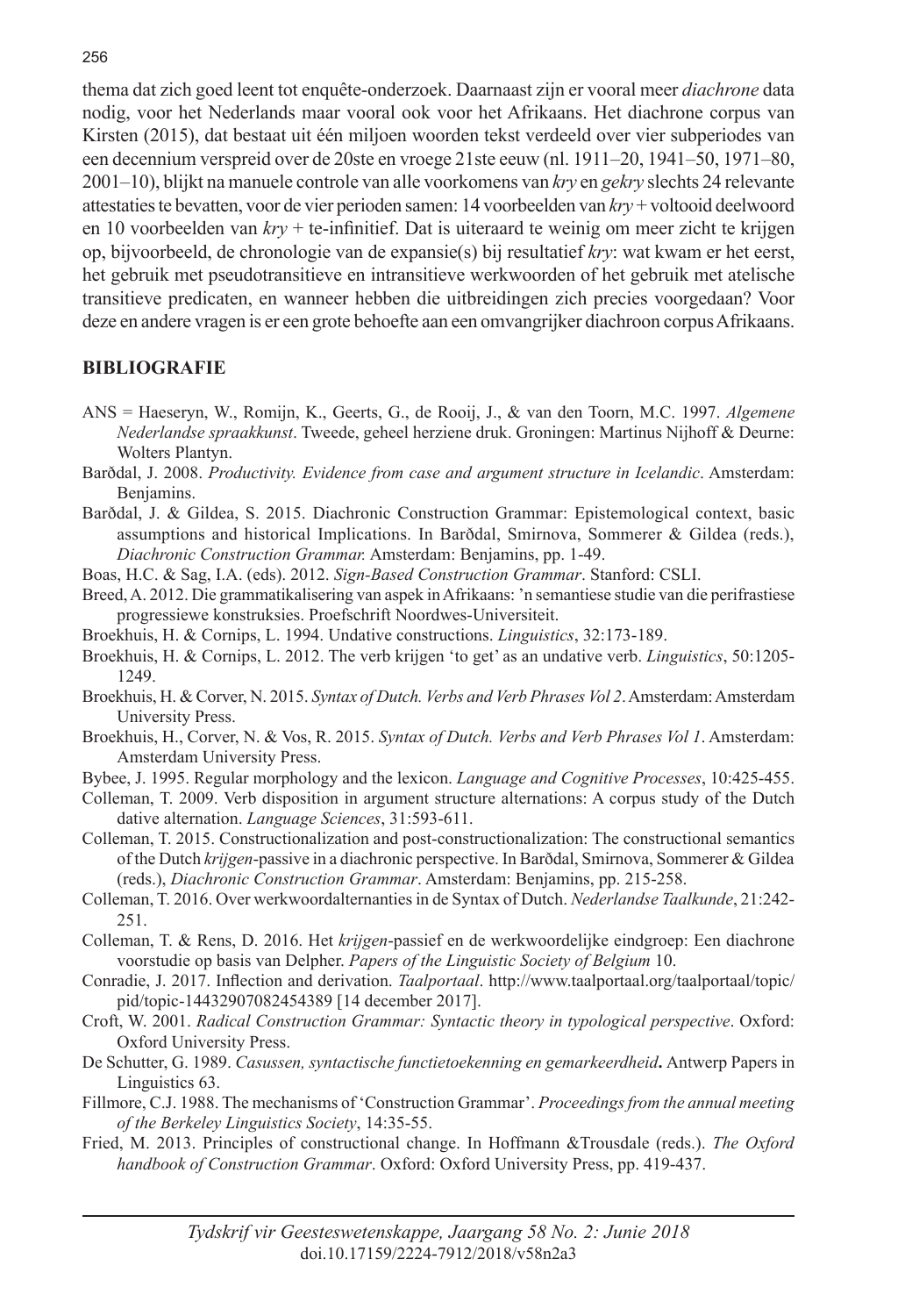thema dat zich goed leent tot enquête-onderzoek. Daarnaast zijn er vooral meer *diachrone* data nodig, voor het Nederlands maar vooral ook voor het Afrikaans. Het diachrone corpus van Kirsten (2015), dat bestaat uit één miljoen woorden tekst verdeeld over vier subperiodes van een decennium verspreid over de 20ste en vroege 21ste eeuw (nl. 1911–20, 1941–50, 1971–80, 2001–10), blijkt na manuele controle van alle voorkomens van *kry* en *gekry* slechts 24 relevante attestaties te bevatten, voor de vier perioden samen: 14 voorbeelden van *kry* + voltooid deelwoord en 10 voorbeelden van *kry* + te-infinitief. Dat is uiteraard te weinig om meer zicht te krijgen op, bijvoorbeeld, de chronologie van de expansie(s) bij resultatief *kry*: wat kwam er het eerst, het gebruik met pseudotransitieve en intransitieve werkwoorden of het gebruik met atelische transitieve predicaten, en wanneer hebben die uitbreidingen zich precies voorgedaan? Voor deze en andere vragen is er een grote behoefte aan een omvangrijker diachroon corpus Afrikaans.

#### **BIBLIOGRAFIE**

- ANS = Haeseryn, W., Romijn, K., Geerts, G., de Rooij, J., & van den Toorn, M.C. 1997. *Algemene Nederlandse spraakkunst*. Tweede, geheel herziene druk. Groningen: Martinus Nijhoff & Deurne: Wolters Plantyn.
- Barðdal, J. 2008. *Productivity. Evidence from case and argument structure in Icelandic*. Amsterdam: Benjamins.
- Barðdal, J. & Gildea, S. 2015. Diachronic Construction Grammar: Epistemological context, basic assumptions and historical Implications. In Barðdal, Smirnova, Sommerer & Gildea (reds.), *Diachronic Construction Grammar.* Amsterdam: Benjamins, pp. 1-49.
- Boas, H.C. & Sag, I.A. (eds). 2012. *Sign-Based Construction Grammar*. Stanford: CSLI.
- Breed, A. 2012. Die grammatikalisering van aspek in Afrikaans: 'n semantiese studie van die perifrastiese progressiewe konstruksies. Proefschrift Noordwes-Universiteit.
- Broekhuis, H. & Cornips, L. 1994. Undative constructions. *Linguistics*, 32:173-189.
- Broekhuis, H. & Cornips, L. 2012. The verb krijgen 'to get' as an undative verb. *Linguistics*, 50:1205- 1249.
- Broekhuis, H. & Corver, N. 2015. *Syntax of Dutch. Verbs and Verb Phrases Vol 2*. Amsterdam: Amsterdam University Press.
- Broekhuis, H., Corver, N. & Vos, R. 2015. *Syntax of Dutch. Verbs and Verb Phrases Vol 1*. Amsterdam: Amsterdam University Press.
- Bybee, J. 1995. Regular morphology and the lexicon. *Language and Cognitive Processes*, 10:425-455.
- Colleman, T. 2009. Verb disposition in argument structure alternations: A corpus study of the Dutch dative alternation. *Language Sciences*, 31:593-611.
- Colleman, T. 2015. Constructionalization and post-constructionalization: The constructional semantics of the Dutch *krijgen*-passive in a diachronic perspective. In Barðdal, Smirnova, Sommerer & Gildea (reds.), *Diachronic Construction Grammar*. Amsterdam: Benjamins, pp. 215-258.
- Colleman, T. 2016. Over werkwoordalternanties in de Syntax of Dutch. *Nederlandse Taalkunde*, 21:242- 251.
- Colleman, T. & Rens, D. 2016. Het *krijgen*-passief en de werkwoordelijke eindgroep: Een diachrone voorstudie op basis van Delpher. *Papers of the Linguistic Society of Belgium* 10.
- Conradie, J. 2017. Inflection and derivation. *Taalportaal*. http://www.taalportaal.org/taalportaal/topic/ pid/topic-14432907082454389 [14 december 2017].
- Croft, W. 2001. *Radical Construction Grammar: Syntactic theory in typological perspective*. Oxford: Oxford University Press.
- De Schutter, G. 1989. *Casussen, syntactische functietoekenning en gemarkeerdheid***.** Antwerp Papers in Linguistics 63.
- Fillmore, C.J. 1988. The mechanisms of 'Construction Grammar'. *Proceedings from the annual meeting of the Berkeley Linguistics Society*, 14:35-55.
- Fried, M. 2013. Principles of constructional change. In Hoffmann &Trousdale (reds.). *The Oxford handbook of Construction Grammar*. Oxford: Oxford University Press, pp. 419-437.